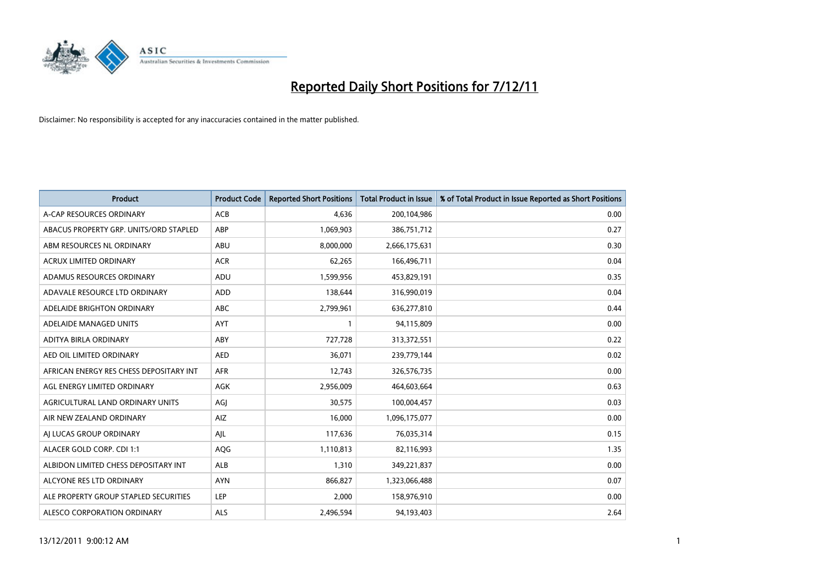

| <b>Product</b>                          | <b>Product Code</b> | <b>Reported Short Positions</b> | <b>Total Product in Issue</b> | % of Total Product in Issue Reported as Short Positions |
|-----------------------------------------|---------------------|---------------------------------|-------------------------------|---------------------------------------------------------|
| A-CAP RESOURCES ORDINARY                | <b>ACB</b>          | 4,636                           | 200,104,986                   | 0.00                                                    |
| ABACUS PROPERTY GRP. UNITS/ORD STAPLED  | ABP                 | 1,069,903                       | 386,751,712                   | 0.27                                                    |
| ABM RESOURCES NL ORDINARY               | ABU                 | 8,000,000                       | 2,666,175,631                 | 0.30                                                    |
| ACRUX LIMITED ORDINARY                  | <b>ACR</b>          | 62,265                          | 166,496,711                   | 0.04                                                    |
| ADAMUS RESOURCES ORDINARY               | ADU                 | 1,599,956                       | 453,829,191                   | 0.35                                                    |
| ADAVALE RESOURCE LTD ORDINARY           | ADD                 | 138,644                         | 316,990,019                   | 0.04                                                    |
| ADELAIDE BRIGHTON ORDINARY              | <b>ABC</b>          | 2,799,961                       | 636,277,810                   | 0.44                                                    |
| ADELAIDE MANAGED UNITS                  | <b>AYT</b>          |                                 | 94,115,809                    | 0.00                                                    |
| ADITYA BIRLA ORDINARY                   | <b>ABY</b>          | 727,728                         | 313,372,551                   | 0.22                                                    |
| AED OIL LIMITED ORDINARY                | <b>AED</b>          | 36,071                          | 239,779,144                   | 0.02                                                    |
| AFRICAN ENERGY RES CHESS DEPOSITARY INT | <b>AFR</b>          | 12,743                          | 326,576,735                   | 0.00                                                    |
| AGL ENERGY LIMITED ORDINARY             | AGK                 | 2,956,009                       | 464,603,664                   | 0.63                                                    |
| AGRICULTURAL LAND ORDINARY UNITS        | AGI                 | 30,575                          | 100,004,457                   | 0.03                                                    |
| AIR NEW ZEALAND ORDINARY                | AIZ                 | 16.000                          | 1,096,175,077                 | 0.00                                                    |
| AI LUCAS GROUP ORDINARY                 | AIL                 | 117,636                         | 76,035,314                    | 0.15                                                    |
| ALACER GOLD CORP. CDI 1:1               | <b>AQG</b>          | 1,110,813                       | 82,116,993                    | 1.35                                                    |
| ALBIDON LIMITED CHESS DEPOSITARY INT    | ALB                 | 1,310                           | 349,221,837                   | 0.00                                                    |
| ALCYONE RES LTD ORDINARY                | <b>AYN</b>          | 866,827                         | 1,323,066,488                 | 0.07                                                    |
| ALE PROPERTY GROUP STAPLED SECURITIES   | LEP                 | 2,000                           | 158,976,910                   | 0.00                                                    |
| ALESCO CORPORATION ORDINARY             | <b>ALS</b>          | 2,496,594                       | 94,193,403                    | 2.64                                                    |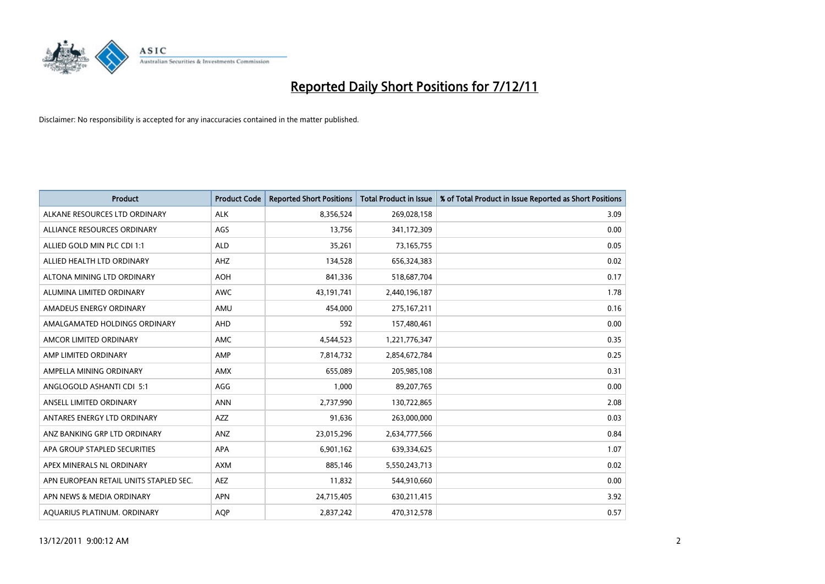

| <b>Product</b>                         | <b>Product Code</b> | <b>Reported Short Positions</b> | <b>Total Product in Issue</b> | % of Total Product in Issue Reported as Short Positions |
|----------------------------------------|---------------------|---------------------------------|-------------------------------|---------------------------------------------------------|
| ALKANE RESOURCES LTD ORDINARY          | <b>ALK</b>          | 8,356,524                       | 269,028,158                   | 3.09                                                    |
| ALLIANCE RESOURCES ORDINARY            | AGS                 | 13,756                          | 341,172,309                   | 0.00                                                    |
| ALLIED GOLD MIN PLC CDI 1:1            | <b>ALD</b>          | 35,261                          | 73,165,755                    | 0.05                                                    |
| ALLIED HEALTH LTD ORDINARY             | <b>AHZ</b>          | 134,528                         | 656,324,383                   | 0.02                                                    |
| ALTONA MINING LTD ORDINARY             | <b>AOH</b>          | 841,336                         | 518,687,704                   | 0.17                                                    |
| ALUMINA LIMITED ORDINARY               | <b>AWC</b>          | 43,191,741                      | 2,440,196,187                 | 1.78                                                    |
| AMADEUS ENERGY ORDINARY                | AMU                 | 454.000                         | 275, 167, 211                 | 0.16                                                    |
| AMALGAMATED HOLDINGS ORDINARY          | <b>AHD</b>          | 592                             | 157,480,461                   | 0.00                                                    |
| AMCOR LIMITED ORDINARY                 | <b>AMC</b>          | 4,544,523                       | 1,221,776,347                 | 0.35                                                    |
| AMP LIMITED ORDINARY                   | AMP                 | 7,814,732                       | 2,854,672,784                 | 0.25                                                    |
| AMPELLA MINING ORDINARY                | <b>AMX</b>          | 655,089                         | 205,985,108                   | 0.31                                                    |
| ANGLOGOLD ASHANTI CDI 5:1              | AGG                 | 1,000                           | 89,207,765                    | 0.00                                                    |
| ANSELL LIMITED ORDINARY                | <b>ANN</b>          | 2,737,990                       | 130,722,865                   | 2.08                                                    |
| ANTARES ENERGY LTD ORDINARY            | AZZ                 | 91,636                          | 263,000,000                   | 0.03                                                    |
| ANZ BANKING GRP LTD ORDINARY           | ANZ                 | 23,015,296                      | 2,634,777,566                 | 0.84                                                    |
| APA GROUP STAPLED SECURITIES           | APA                 | 6,901,162                       | 639,334,625                   | 1.07                                                    |
| APEX MINERALS NL ORDINARY              | <b>AXM</b>          | 885,146                         | 5,550,243,713                 | 0.02                                                    |
| APN EUROPEAN RETAIL UNITS STAPLED SEC. | <b>AEZ</b>          | 11,832                          | 544,910,660                   | 0.00                                                    |
| APN NEWS & MEDIA ORDINARY              | <b>APN</b>          | 24,715,405                      | 630,211,415                   | 3.92                                                    |
| AQUARIUS PLATINUM. ORDINARY            | <b>AOP</b>          | 2,837,242                       | 470,312,578                   | 0.57                                                    |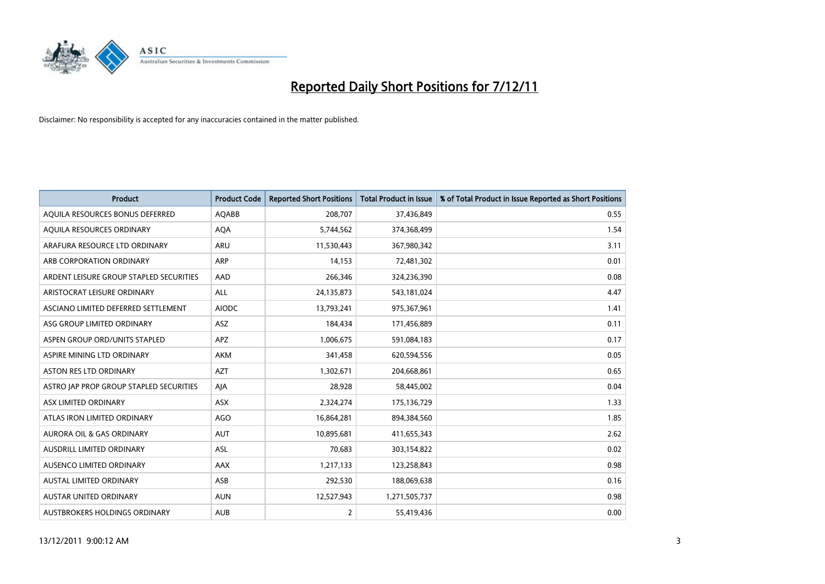

| <b>Product</b>                          | <b>Product Code</b> | <b>Reported Short Positions</b> | <b>Total Product in Issue</b> | % of Total Product in Issue Reported as Short Positions |
|-----------------------------------------|---------------------|---------------------------------|-------------------------------|---------------------------------------------------------|
| AQUILA RESOURCES BONUS DEFERRED         | AQABB               | 208,707                         | 37,436,849                    | 0.55                                                    |
| AQUILA RESOURCES ORDINARY               | <b>AQA</b>          | 5,744,562                       | 374,368,499                   | 1.54                                                    |
| ARAFURA RESOURCE LTD ORDINARY           | <b>ARU</b>          | 11,530,443                      | 367,980,342                   | 3.11                                                    |
| ARB CORPORATION ORDINARY                | <b>ARP</b>          | 14,153                          | 72,481,302                    | 0.01                                                    |
| ARDENT LEISURE GROUP STAPLED SECURITIES | AAD                 | 266,346                         | 324,236,390                   | 0.08                                                    |
| ARISTOCRAT LEISURE ORDINARY             | <b>ALL</b>          | 24,135,873                      | 543,181,024                   | 4.47                                                    |
| ASCIANO LIMITED DEFERRED SETTLEMENT     | <b>AIODC</b>        | 13,793,241                      | 975,367,961                   | 1.41                                                    |
| ASG GROUP LIMITED ORDINARY              | ASZ                 | 184,434                         | 171,456,889                   | 0.11                                                    |
| ASPEN GROUP ORD/UNITS STAPLED           | <b>APZ</b>          | 1,006,675                       | 591,084,183                   | 0.17                                                    |
| ASPIRE MINING LTD ORDINARY              | <b>AKM</b>          | 341,458                         | 620,594,556                   | 0.05                                                    |
| ASTON RES LTD ORDINARY                  | <b>AZT</b>          | 1,302,671                       | 204,668,861                   | 0.65                                                    |
| ASTRO JAP PROP GROUP STAPLED SECURITIES | AJA                 | 28,928                          | 58,445,002                    | 0.04                                                    |
| ASX LIMITED ORDINARY                    | ASX                 | 2,324,274                       | 175,136,729                   | 1.33                                                    |
| ATLAS IRON LIMITED ORDINARY             | <b>AGO</b>          | 16,864,281                      | 894,384,560                   | 1.85                                                    |
| <b>AURORA OIL &amp; GAS ORDINARY</b>    | <b>AUT</b>          | 10,895,681                      | 411,655,343                   | 2.62                                                    |
| AUSDRILL LIMITED ORDINARY               | ASL                 | 70,683                          | 303,154,822                   | 0.02                                                    |
| AUSENCO LIMITED ORDINARY                | AAX                 | 1,217,133                       | 123,258,843                   | 0.98                                                    |
| AUSTAL LIMITED ORDINARY                 | ASB                 | 292,530                         | 188,069,638                   | 0.16                                                    |
| <b>AUSTAR UNITED ORDINARY</b>           | <b>AUN</b>          | 12,527,943                      | 1,271,505,737                 | 0.98                                                    |
| AUSTBROKERS HOLDINGS ORDINARY           | <b>AUB</b>          | 2                               | 55,419,436                    | 0.00                                                    |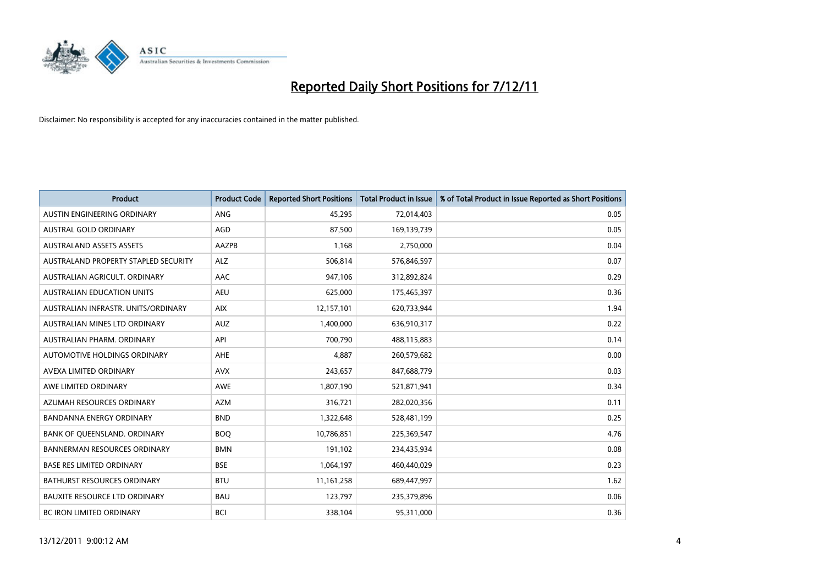

| <b>Product</b>                       | <b>Product Code</b> | <b>Reported Short Positions</b> | <b>Total Product in Issue</b> | % of Total Product in Issue Reported as Short Positions |
|--------------------------------------|---------------------|---------------------------------|-------------------------------|---------------------------------------------------------|
| AUSTIN ENGINEERING ORDINARY          | <b>ANG</b>          | 45,295                          | 72,014,403                    | 0.05                                                    |
| AUSTRAL GOLD ORDINARY                | AGD                 | 87,500                          | 169,139,739                   | 0.05                                                    |
| <b>AUSTRALAND ASSETS ASSETS</b>      | AAZPB               | 1,168                           | 2,750,000                     | 0.04                                                    |
| AUSTRALAND PROPERTY STAPLED SECURITY | <b>ALZ</b>          | 506,814                         | 576,846,597                   | 0.07                                                    |
| AUSTRALIAN AGRICULT, ORDINARY        | AAC                 | 947,106                         | 312,892,824                   | 0.29                                                    |
| <b>AUSTRALIAN EDUCATION UNITS</b>    | <b>AEU</b>          | 625,000                         | 175,465,397                   | 0.36                                                    |
| AUSTRALIAN INFRASTR, UNITS/ORDINARY  | <b>AIX</b>          | 12,157,101                      | 620,733,944                   | 1.94                                                    |
| AUSTRALIAN MINES LTD ORDINARY        | <b>AUZ</b>          | 1,400,000                       | 636,910,317                   | 0.22                                                    |
| AUSTRALIAN PHARM. ORDINARY           | API                 | 700,790                         | 488,115,883                   | 0.14                                                    |
| <b>AUTOMOTIVE HOLDINGS ORDINARY</b>  | AHE                 | 4,887                           | 260,579,682                   | 0.00                                                    |
| AVEXA LIMITED ORDINARY               | <b>AVX</b>          | 243,657                         | 847,688,779                   | 0.03                                                    |
| AWE LIMITED ORDINARY                 | <b>AWE</b>          | 1,807,190                       | 521,871,941                   | 0.34                                                    |
| AZUMAH RESOURCES ORDINARY            | <b>AZM</b>          | 316,721                         | 282,020,356                   | 0.11                                                    |
| <b>BANDANNA ENERGY ORDINARY</b>      | <b>BND</b>          | 1,322,648                       | 528,481,199                   | 0.25                                                    |
| BANK OF QUEENSLAND. ORDINARY         | <b>BOO</b>          | 10,786,851                      | 225,369,547                   | 4.76                                                    |
| BANNERMAN RESOURCES ORDINARY         | <b>BMN</b>          | 191,102                         | 234,435,934                   | 0.08                                                    |
| <b>BASE RES LIMITED ORDINARY</b>     | <b>BSE</b>          | 1,064,197                       | 460,440,029                   | 0.23                                                    |
| BATHURST RESOURCES ORDINARY          | <b>BTU</b>          | 11,161,258                      | 689,447,997                   | 1.62                                                    |
| <b>BAUXITE RESOURCE LTD ORDINARY</b> | <b>BAU</b>          | 123,797                         | 235,379,896                   | 0.06                                                    |
| <b>BC IRON LIMITED ORDINARY</b>      | <b>BCI</b>          | 338,104                         | 95,311,000                    | 0.36                                                    |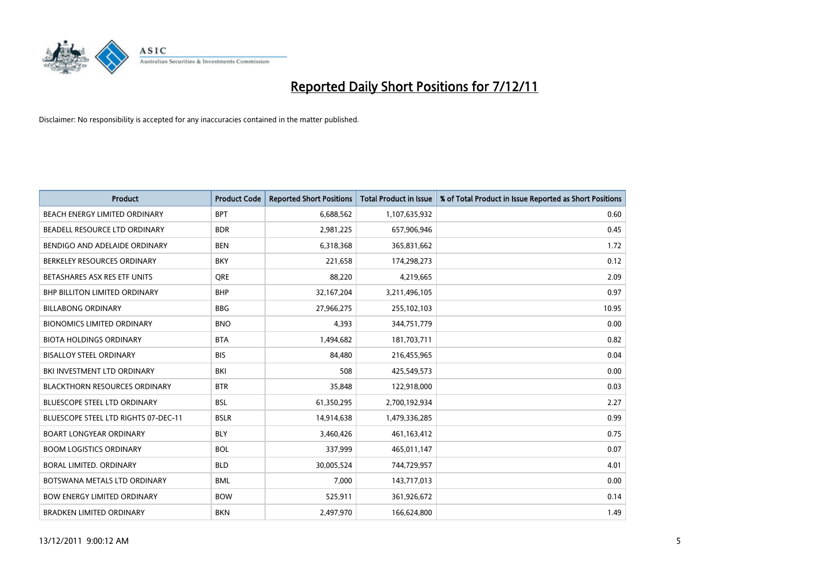

| <b>Product</b>                       | <b>Product Code</b> | <b>Reported Short Positions</b> | <b>Total Product in Issue</b> | % of Total Product in Issue Reported as Short Positions |
|--------------------------------------|---------------------|---------------------------------|-------------------------------|---------------------------------------------------------|
| <b>BEACH ENERGY LIMITED ORDINARY</b> | <b>BPT</b>          | 6,688,562                       | 1,107,635,932                 | 0.60                                                    |
| BEADELL RESOURCE LTD ORDINARY        | <b>BDR</b>          | 2,981,225                       | 657,906,946                   | 0.45                                                    |
| BENDIGO AND ADELAIDE ORDINARY        | <b>BEN</b>          | 6,318,368                       | 365,831,662                   | 1.72                                                    |
| BERKELEY RESOURCES ORDINARY          | <b>BKY</b>          | 221,658                         | 174,298,273                   | 0.12                                                    |
| BETASHARES ASX RES ETF UNITS         | <b>ORE</b>          | 88,220                          | 4,219,665                     | 2.09                                                    |
| <b>BHP BILLITON LIMITED ORDINARY</b> | <b>BHP</b>          | 32,167,204                      | 3,211,496,105                 | 0.97                                                    |
| <b>BILLABONG ORDINARY</b>            | <b>BBG</b>          | 27,966,275                      | 255,102,103                   | 10.95                                                   |
| <b>BIONOMICS LIMITED ORDINARY</b>    | <b>BNO</b>          | 4,393                           | 344,751,779                   | 0.00                                                    |
| <b>BIOTA HOLDINGS ORDINARY</b>       | <b>BTA</b>          | 1,494,682                       | 181,703,711                   | 0.82                                                    |
| <b>BISALLOY STEEL ORDINARY</b>       | <b>BIS</b>          | 84.480                          | 216,455,965                   | 0.04                                                    |
| BKI INVESTMENT LTD ORDINARY          | BKI                 | 508                             | 425,549,573                   | 0.00                                                    |
| <b>BLACKTHORN RESOURCES ORDINARY</b> | <b>BTR</b>          | 35,848                          | 122,918,000                   | 0.03                                                    |
| <b>BLUESCOPE STEEL LTD ORDINARY</b>  | <b>BSL</b>          | 61,350,295                      | 2,700,192,934                 | 2.27                                                    |
| BLUESCOPE STEEL LTD RIGHTS 07-DEC-11 | <b>BSLR</b>         | 14,914,638                      | 1,479,336,285                 | 0.99                                                    |
| <b>BOART LONGYEAR ORDINARY</b>       | <b>BLY</b>          | 3,460,426                       | 461, 163, 412                 | 0.75                                                    |
| <b>BOOM LOGISTICS ORDINARY</b>       | <b>BOL</b>          | 337,999                         | 465,011,147                   | 0.07                                                    |
| BORAL LIMITED, ORDINARY              | <b>BLD</b>          | 30,005,524                      | 744,729,957                   | 4.01                                                    |
| BOTSWANA METALS LTD ORDINARY         | <b>BML</b>          | 7,000                           | 143,717,013                   | 0.00                                                    |
| <b>BOW ENERGY LIMITED ORDINARY</b>   | <b>BOW</b>          | 525,911                         | 361,926,672                   | 0.14                                                    |
| <b>BRADKEN LIMITED ORDINARY</b>      | <b>BKN</b>          | 2,497,970                       | 166,624,800                   | 1.49                                                    |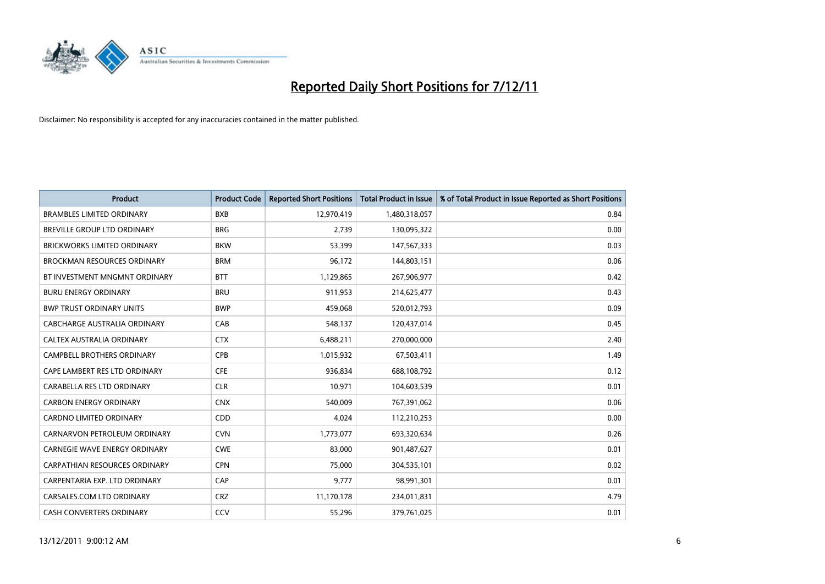

| <b>Product</b>                       | <b>Product Code</b> | <b>Reported Short Positions</b> | <b>Total Product in Issue</b> | % of Total Product in Issue Reported as Short Positions |
|--------------------------------------|---------------------|---------------------------------|-------------------------------|---------------------------------------------------------|
| <b>BRAMBLES LIMITED ORDINARY</b>     | <b>BXB</b>          | 12,970,419                      | 1,480,318,057                 | 0.84                                                    |
| BREVILLE GROUP LTD ORDINARY          | <b>BRG</b>          | 2,739                           | 130,095,322                   | 0.00                                                    |
| <b>BRICKWORKS LIMITED ORDINARY</b>   | <b>BKW</b>          | 53,399                          | 147,567,333                   | 0.03                                                    |
| <b>BROCKMAN RESOURCES ORDINARY</b>   | <b>BRM</b>          | 96,172                          | 144,803,151                   | 0.06                                                    |
| BT INVESTMENT MNGMNT ORDINARY        | <b>BTT</b>          | 1,129,865                       | 267,906,977                   | 0.42                                                    |
| <b>BURU ENERGY ORDINARY</b>          | <b>BRU</b>          | 911,953                         | 214,625,477                   | 0.43                                                    |
| <b>BWP TRUST ORDINARY UNITS</b>      | <b>BWP</b>          | 459,068                         | 520,012,793                   | 0.09                                                    |
| CABCHARGE AUSTRALIA ORDINARY         | CAB                 | 548,137                         | 120,437,014                   | 0.45                                                    |
| CALTEX AUSTRALIA ORDINARY            | <b>CTX</b>          | 6,488,211                       | 270,000,000                   | 2.40                                                    |
| <b>CAMPBELL BROTHERS ORDINARY</b>    | CPB                 | 1,015,932                       | 67,503,411                    | 1.49                                                    |
| CAPE LAMBERT RES LTD ORDINARY        | <b>CFE</b>          | 936,834                         | 688,108,792                   | 0.12                                                    |
| CARABELLA RES LTD ORDINARY           | <b>CLR</b>          | 10,971                          | 104,603,539                   | 0.01                                                    |
| <b>CARBON ENERGY ORDINARY</b>        | <b>CNX</b>          | 540.009                         | 767,391,062                   | 0.06                                                    |
| <b>CARDNO LIMITED ORDINARY</b>       | CDD                 | 4,024                           | 112,210,253                   | 0.00                                                    |
| CARNARVON PETROLEUM ORDINARY         | <b>CVN</b>          | 1,773,077                       | 693,320,634                   | 0.26                                                    |
| <b>CARNEGIE WAVE ENERGY ORDINARY</b> | <b>CWE</b>          | 83,000                          | 901,487,627                   | 0.01                                                    |
| <b>CARPATHIAN RESOURCES ORDINARY</b> | <b>CPN</b>          | 75,000                          | 304,535,101                   | 0.02                                                    |
| CARPENTARIA EXP. LTD ORDINARY        | CAP                 | 9,777                           | 98,991,301                    | 0.01                                                    |
| CARSALES.COM LTD ORDINARY            | <b>CRZ</b>          | 11,170,178                      | 234,011,831                   | 4.79                                                    |
| CASH CONVERTERS ORDINARY             | CCV                 | 55,296                          | 379,761,025                   | 0.01                                                    |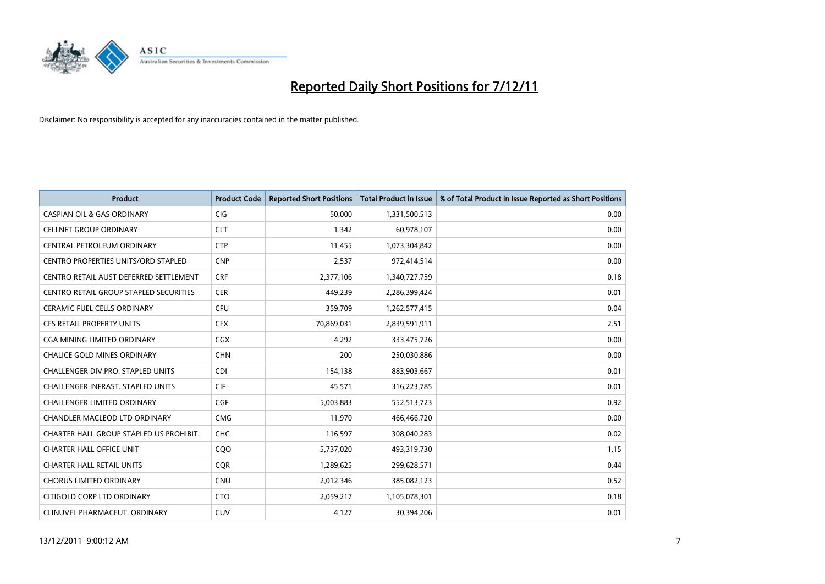

| <b>Product</b>                           | <b>Product Code</b> | <b>Reported Short Positions</b> | <b>Total Product in Issue</b> | % of Total Product in Issue Reported as Short Positions |
|------------------------------------------|---------------------|---------------------------------|-------------------------------|---------------------------------------------------------|
| <b>CASPIAN OIL &amp; GAS ORDINARY</b>    | <b>CIG</b>          | 50,000                          | 1,331,500,513                 | 0.00                                                    |
| <b>CELLNET GROUP ORDINARY</b>            | <b>CLT</b>          | 1,342                           | 60,978,107                    | 0.00                                                    |
| CENTRAL PETROLEUM ORDINARY               | <b>CTP</b>          | 11,455                          | 1,073,304,842                 | 0.00                                                    |
| CENTRO PROPERTIES UNITS/ORD STAPLED      | <b>CNP</b>          | 2,537                           | 972,414,514                   | 0.00                                                    |
| CENTRO RETAIL AUST DEFERRED SETTLEMENT   | <b>CRF</b>          | 2,377,106                       | 1,340,727,759                 | 0.18                                                    |
| CENTRO RETAIL GROUP STAPLED SECURITIES   | <b>CER</b>          | 449,239                         | 2,286,399,424                 | 0.01                                                    |
| <b>CERAMIC FUEL CELLS ORDINARY</b>       | <b>CFU</b>          | 359,709                         | 1,262,577,415                 | 0.04                                                    |
| <b>CFS RETAIL PROPERTY UNITS</b>         | <b>CFX</b>          | 70,869,031                      | 2,839,591,911                 | 2.51                                                    |
| <b>CGA MINING LIMITED ORDINARY</b>       | <b>CGX</b>          | 4,292                           | 333,475,726                   | 0.00                                                    |
| <b>CHALICE GOLD MINES ORDINARY</b>       | <b>CHN</b>          | 200                             | 250,030,886                   | 0.00                                                    |
| CHALLENGER DIV.PRO. STAPLED UNITS        | <b>CDI</b>          | 154,138                         | 883,903,667                   | 0.01                                                    |
| <b>CHALLENGER INFRAST, STAPLED UNITS</b> | <b>CIF</b>          | 45,571                          | 316,223,785                   | 0.01                                                    |
| <b>CHALLENGER LIMITED ORDINARY</b>       | CGF                 | 5,003,883                       | 552,513,723                   | 0.92                                                    |
| <b>CHANDLER MACLEOD LTD ORDINARY</b>     | <b>CMG</b>          | 11,970                          | 466,466,720                   | 0.00                                                    |
| CHARTER HALL GROUP STAPLED US PROHIBIT.  | <b>CHC</b>          | 116,597                         | 308,040,283                   | 0.02                                                    |
| <b>CHARTER HALL OFFICE UNIT</b>          | COO                 | 5,737,020                       | 493,319,730                   | 1.15                                                    |
| <b>CHARTER HALL RETAIL UNITS</b>         | <b>COR</b>          | 1,289,625                       | 299,628,571                   | 0.44                                                    |
| <b>CHORUS LIMITED ORDINARY</b>           | <b>CNU</b>          | 2,012,346                       | 385,082,123                   | 0.52                                                    |
| CITIGOLD CORP LTD ORDINARY               | <b>CTO</b>          | 2,059,217                       | 1,105,078,301                 | 0.18                                                    |
| CLINUVEL PHARMACEUT. ORDINARY            | CUV                 | 4,127                           | 30,394,206                    | 0.01                                                    |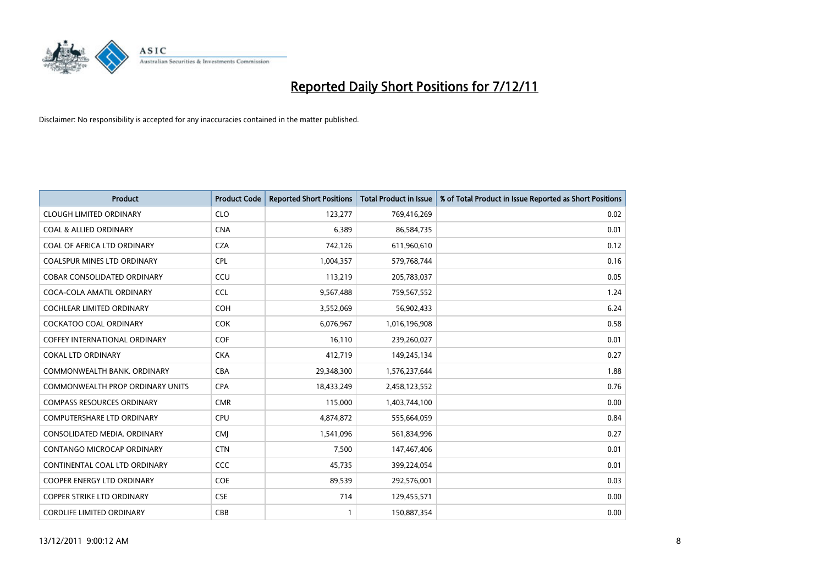

| <b>Product</b>                          | <b>Product Code</b> | <b>Reported Short Positions</b> | <b>Total Product in Issue</b> | % of Total Product in Issue Reported as Short Positions |
|-----------------------------------------|---------------------|---------------------------------|-------------------------------|---------------------------------------------------------|
| <b>CLOUGH LIMITED ORDINARY</b>          | <b>CLO</b>          | 123,277                         | 769,416,269                   | 0.02                                                    |
| <b>COAL &amp; ALLIED ORDINARY</b>       | <b>CNA</b>          | 6,389                           | 86,584,735                    | 0.01                                                    |
| COAL OF AFRICA LTD ORDINARY             | <b>CZA</b>          | 742,126                         | 611,960,610                   | 0.12                                                    |
| COALSPUR MINES LTD ORDINARY             | <b>CPL</b>          | 1,004,357                       | 579,768,744                   | 0.16                                                    |
| <b>COBAR CONSOLIDATED ORDINARY</b>      | CCU                 | 113,219                         | 205,783,037                   | 0.05                                                    |
| COCA-COLA AMATIL ORDINARY               | <b>CCL</b>          | 9,567,488                       | 759,567,552                   | 1.24                                                    |
| <b>COCHLEAR LIMITED ORDINARY</b>        | <b>COH</b>          | 3,552,069                       | 56,902,433                    | 6.24                                                    |
| <b>COCKATOO COAL ORDINARY</b>           | <b>COK</b>          | 6,076,967                       | 1,016,196,908                 | 0.58                                                    |
| COFFEY INTERNATIONAL ORDINARY           | <b>COF</b>          | 16,110                          | 239,260,027                   | 0.01                                                    |
| <b>COKAL LTD ORDINARY</b>               | <b>CKA</b>          | 412,719                         | 149,245,134                   | 0.27                                                    |
| COMMONWEALTH BANK, ORDINARY             | <b>CBA</b>          | 29,348,300                      | 1,576,237,644                 | 1.88                                                    |
| <b>COMMONWEALTH PROP ORDINARY UNITS</b> | <b>CPA</b>          | 18,433,249                      | 2,458,123,552                 | 0.76                                                    |
| <b>COMPASS RESOURCES ORDINARY</b>       | <b>CMR</b>          | 115,000                         | 1,403,744,100                 | 0.00                                                    |
| <b>COMPUTERSHARE LTD ORDINARY</b>       | <b>CPU</b>          | 4,874,872                       | 555,664,059                   | 0.84                                                    |
| CONSOLIDATED MEDIA, ORDINARY            | <b>CMI</b>          | 1,541,096                       | 561,834,996                   | 0.27                                                    |
| CONTANGO MICROCAP ORDINARY              | <b>CTN</b>          | 7,500                           | 147,467,406                   | 0.01                                                    |
| CONTINENTAL COAL LTD ORDINARY           | CCC                 | 45,735                          | 399,224,054                   | 0.01                                                    |
| COOPER ENERGY LTD ORDINARY              | <b>COE</b>          | 89,539                          | 292,576,001                   | 0.03                                                    |
| <b>COPPER STRIKE LTD ORDINARY</b>       | <b>CSE</b>          | 714                             | 129,455,571                   | 0.00                                                    |
| <b>CORDLIFE LIMITED ORDINARY</b>        | CBB                 |                                 | 150,887,354                   | 0.00                                                    |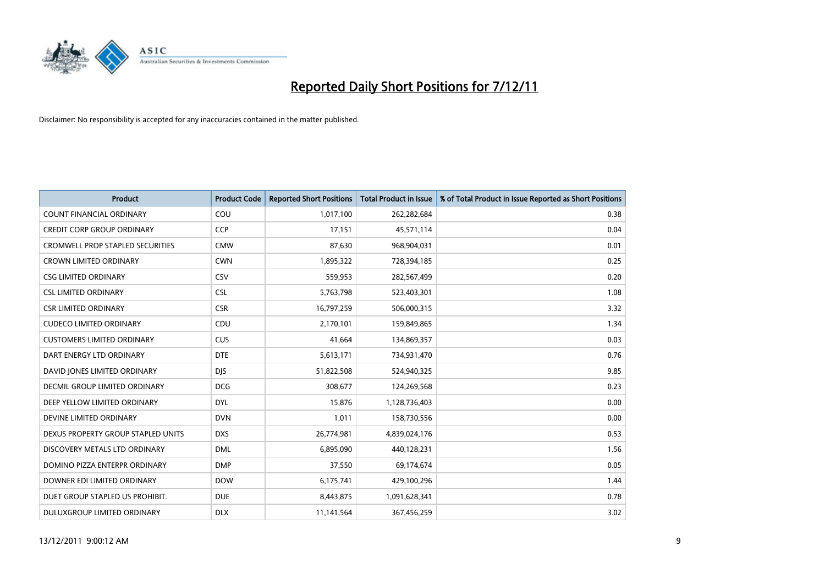

| <b>Product</b>                          | <b>Product Code</b> | <b>Reported Short Positions</b> | <b>Total Product in Issue</b> | % of Total Product in Issue Reported as Short Positions |
|-----------------------------------------|---------------------|---------------------------------|-------------------------------|---------------------------------------------------------|
| <b>COUNT FINANCIAL ORDINARY</b>         | COU                 | 1,017,100                       | 262,282,684                   | 0.38                                                    |
| <b>CREDIT CORP GROUP ORDINARY</b>       | <b>CCP</b>          | 17,151                          | 45,571,114                    | 0.04                                                    |
| <b>CROMWELL PROP STAPLED SECURITIES</b> | <b>CMW</b>          | 87,630                          | 968,904,031                   | 0.01                                                    |
| <b>CROWN LIMITED ORDINARY</b>           | <b>CWN</b>          | 1,895,322                       | 728,394,185                   | 0.25                                                    |
| <b>CSG LIMITED ORDINARY</b>             | CSV                 | 559,953                         | 282,567,499                   | 0.20                                                    |
| <b>CSL LIMITED ORDINARY</b>             | <b>CSL</b>          | 5,763,798                       | 523,403,301                   | 1.08                                                    |
| <b>CSR LIMITED ORDINARY</b>             | <b>CSR</b>          | 16,797,259                      | 506,000,315                   | 3.32                                                    |
| <b>CUDECO LIMITED ORDINARY</b>          | CDU                 | 2,170,101                       | 159,849,865                   | 1.34                                                    |
| <b>CUSTOMERS LIMITED ORDINARY</b>       | <b>CUS</b>          | 41,664                          | 134,869,357                   | 0.03                                                    |
| DART ENERGY LTD ORDINARY                | <b>DTE</b>          | 5,613,171                       | 734,931,470                   | 0.76                                                    |
| DAVID JONES LIMITED ORDINARY            | <b>DIS</b>          | 51,822,508                      | 524,940,325                   | 9.85                                                    |
| <b>DECMIL GROUP LIMITED ORDINARY</b>    | <b>DCG</b>          | 308,677                         | 124,269,568                   | 0.23                                                    |
| DEEP YELLOW LIMITED ORDINARY            | <b>DYL</b>          | 15,876                          | 1,128,736,403                 | 0.00                                                    |
| DEVINE LIMITED ORDINARY                 | <b>DVN</b>          | 1,011                           | 158,730,556                   | 0.00                                                    |
| DEXUS PROPERTY GROUP STAPLED UNITS      | <b>DXS</b>          | 26,774,981                      | 4,839,024,176                 | 0.53                                                    |
| DISCOVERY METALS LTD ORDINARY           | <b>DML</b>          | 6,895,090                       | 440,128,231                   | 1.56                                                    |
| DOMINO PIZZA ENTERPR ORDINARY           | <b>DMP</b>          | 37,550                          | 69,174,674                    | 0.05                                                    |
| DOWNER EDI LIMITED ORDINARY             | <b>DOW</b>          | 6,175,741                       | 429,100,296                   | 1.44                                                    |
| DUET GROUP STAPLED US PROHIBIT.         | <b>DUE</b>          | 8,443,875                       | 1,091,628,341                 | 0.78                                                    |
| DULUXGROUP LIMITED ORDINARY             | <b>DLX</b>          | 11,141,564                      | 367,456,259                   | 3.02                                                    |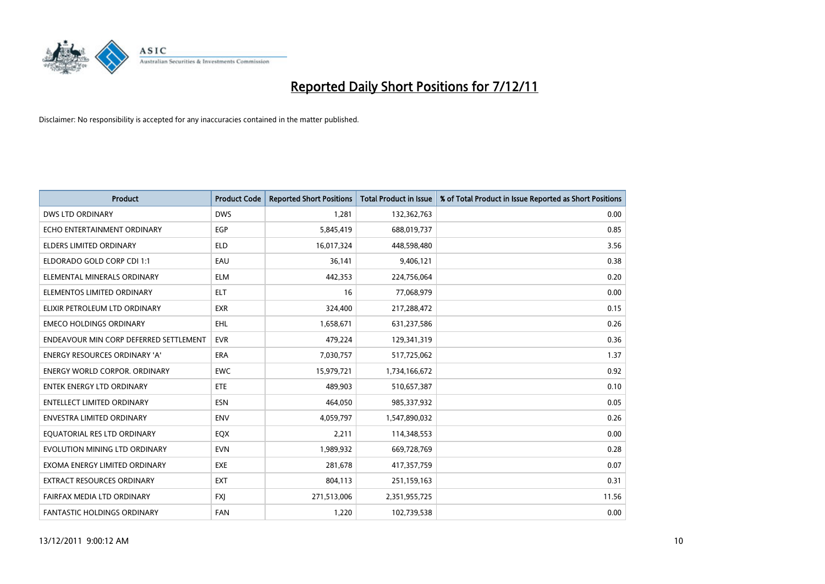

| <b>Product</b>                         | <b>Product Code</b> | <b>Reported Short Positions</b> | <b>Total Product in Issue</b> | % of Total Product in Issue Reported as Short Positions |
|----------------------------------------|---------------------|---------------------------------|-------------------------------|---------------------------------------------------------|
| <b>DWS LTD ORDINARY</b>                | <b>DWS</b>          | 1.281                           | 132,362,763                   | 0.00                                                    |
| ECHO ENTERTAINMENT ORDINARY            | <b>EGP</b>          | 5,845,419                       | 688,019,737                   | 0.85                                                    |
| <b>ELDERS LIMITED ORDINARY</b>         | <b>ELD</b>          | 16,017,324                      | 448,598,480                   | 3.56                                                    |
| ELDORADO GOLD CORP CDI 1:1             | EAU                 | 36,141                          | 9,406,121                     | 0.38                                                    |
| ELEMENTAL MINERALS ORDINARY            | <b>ELM</b>          | 442,353                         | 224,756,064                   | 0.20                                                    |
| ELEMENTOS LIMITED ORDINARY             | <b>ELT</b>          | 16                              | 77,068,979                    | 0.00                                                    |
| ELIXIR PETROLEUM LTD ORDINARY          | <b>EXR</b>          | 324,400                         | 217,288,472                   | 0.15                                                    |
| <b>EMECO HOLDINGS ORDINARY</b>         | EHL                 | 1,658,671                       | 631,237,586                   | 0.26                                                    |
| ENDEAVOUR MIN CORP DEFERRED SETTLEMENT | <b>EVR</b>          | 479,224                         | 129,341,319                   | 0.36                                                    |
| <b>ENERGY RESOURCES ORDINARY 'A'</b>   | <b>ERA</b>          | 7,030,757                       | 517,725,062                   | 1.37                                                    |
| <b>ENERGY WORLD CORPOR, ORDINARY</b>   | <b>EWC</b>          | 15,979,721                      | 1,734,166,672                 | 0.92                                                    |
| <b>ENTEK ENERGY LTD ORDINARY</b>       | <b>ETE</b>          | 489,903                         | 510,657,387                   | 0.10                                                    |
| <b>ENTELLECT LIMITED ORDINARY</b>      | <b>ESN</b>          | 464,050                         | 985,337,932                   | 0.05                                                    |
| <b>ENVESTRA LIMITED ORDINARY</b>       | <b>ENV</b>          | 4,059,797                       | 1,547,890,032                 | 0.26                                                    |
| EQUATORIAL RES LTD ORDINARY            | EQX                 | 2,211                           | 114,348,553                   | 0.00                                                    |
| EVOLUTION MINING LTD ORDINARY          | <b>EVN</b>          | 1,989,932                       | 669,728,769                   | 0.28                                                    |
| EXOMA ENERGY LIMITED ORDINARY          | <b>EXE</b>          | 281,678                         | 417,357,759                   | 0.07                                                    |
| EXTRACT RESOURCES ORDINARY             | <b>EXT</b>          | 804,113                         | 251,159,163                   | 0.31                                                    |
| FAIRFAX MEDIA LTD ORDINARY             | <b>FXI</b>          | 271,513,006                     | 2,351,955,725                 | 11.56                                                   |
| FANTASTIC HOLDINGS ORDINARY            | <b>FAN</b>          | 1,220                           | 102,739,538                   | 0.00                                                    |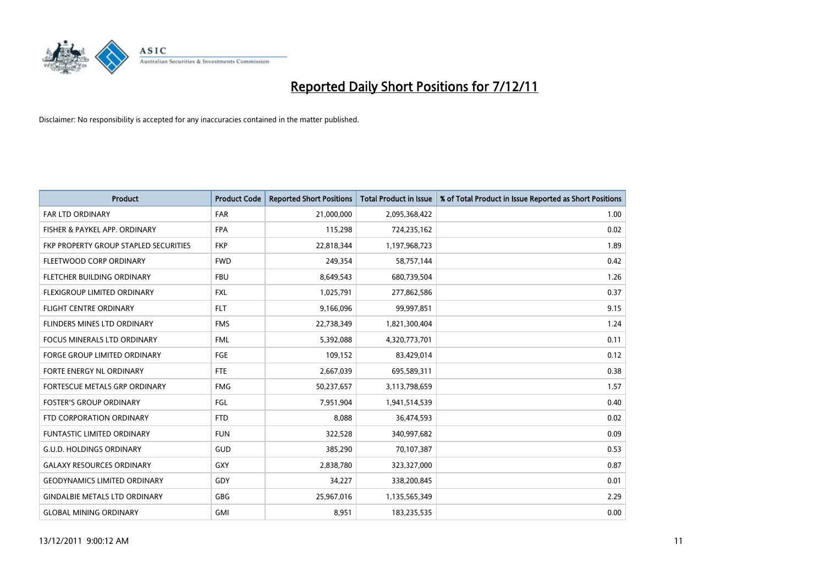

| <b>Product</b>                        | <b>Product Code</b> | <b>Reported Short Positions</b> | <b>Total Product in Issue</b> | % of Total Product in Issue Reported as Short Positions |
|---------------------------------------|---------------------|---------------------------------|-------------------------------|---------------------------------------------------------|
| <b>FAR LTD ORDINARY</b>               | <b>FAR</b>          | 21,000,000                      | 2,095,368,422                 | 1.00                                                    |
| FISHER & PAYKEL APP. ORDINARY         | <b>FPA</b>          | 115,298                         | 724,235,162                   | 0.02                                                    |
| FKP PROPERTY GROUP STAPLED SECURITIES | <b>FKP</b>          | 22,818,344                      | 1,197,968,723                 | 1.89                                                    |
| FLEETWOOD CORP ORDINARY               | <b>FWD</b>          | 249,354                         | 58,757,144                    | 0.42                                                    |
| FLETCHER BUILDING ORDINARY            | <b>FBU</b>          | 8,649,543                       | 680,739,504                   | 1.26                                                    |
| <b>FLEXIGROUP LIMITED ORDINARY</b>    | <b>FXL</b>          | 1,025,791                       | 277,862,586                   | 0.37                                                    |
| <b>FLIGHT CENTRE ORDINARY</b>         | <b>FLT</b>          | 9,166,096                       | 99,997,851                    | 9.15                                                    |
| FLINDERS MINES LTD ORDINARY           | <b>FMS</b>          | 22,738,349                      | 1,821,300,404                 | 1.24                                                    |
| FOCUS MINERALS LTD ORDINARY           | <b>FML</b>          | 5,392,088                       | 4,320,773,701                 | 0.11                                                    |
| <b>FORGE GROUP LIMITED ORDINARY</b>   | FGE                 | 109,152                         | 83,429,014                    | 0.12                                                    |
| FORTE ENERGY NL ORDINARY              | <b>FTE</b>          | 2,667,039                       | 695,589,311                   | 0.38                                                    |
| FORTESCUE METALS GRP ORDINARY         | <b>FMG</b>          | 50,237,657                      | 3,113,798,659                 | 1.57                                                    |
| <b>FOSTER'S GROUP ORDINARY</b>        | FGL                 | 7,951,904                       | 1,941,514,539                 | 0.40                                                    |
| FTD CORPORATION ORDINARY              | <b>FTD</b>          | 8.088                           | 36,474,593                    | 0.02                                                    |
| <b>FUNTASTIC LIMITED ORDINARY</b>     | <b>FUN</b>          | 322,528                         | 340,997,682                   | 0.09                                                    |
| <b>G.U.D. HOLDINGS ORDINARY</b>       | GUD                 | 385,290                         | 70,107,387                    | 0.53                                                    |
| <b>GALAXY RESOURCES ORDINARY</b>      | <b>GXY</b>          | 2,838,780                       | 323,327,000                   | 0.87                                                    |
| <b>GEODYNAMICS LIMITED ORDINARY</b>   | GDY                 | 34,227                          | 338,200,845                   | 0.01                                                    |
| <b>GINDALBIE METALS LTD ORDINARY</b>  | <b>GBG</b>          | 25,967,016                      | 1,135,565,349                 | 2.29                                                    |
| <b>GLOBAL MINING ORDINARY</b>         | <b>GMI</b>          | 8.951                           | 183,235,535                   | 0.00                                                    |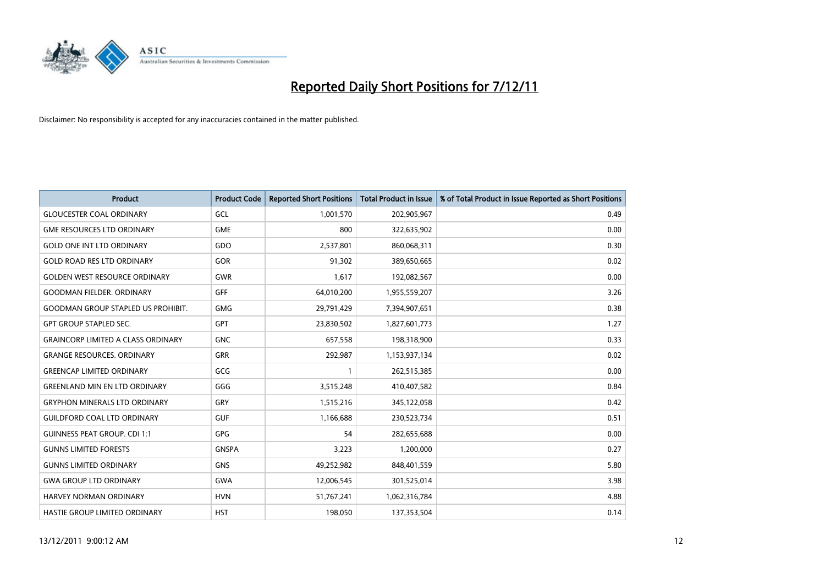

| <b>Product</b>                            | <b>Product Code</b> | <b>Reported Short Positions</b> | <b>Total Product in Issue</b> | % of Total Product in Issue Reported as Short Positions |
|-------------------------------------------|---------------------|---------------------------------|-------------------------------|---------------------------------------------------------|
| <b>GLOUCESTER COAL ORDINARY</b>           | GCL                 | 1,001,570                       | 202,905,967                   | 0.49                                                    |
| <b>GME RESOURCES LTD ORDINARY</b>         | <b>GME</b>          | 800                             | 322,635,902                   | 0.00                                                    |
| <b>GOLD ONE INT LTD ORDINARY</b>          | GDO                 | 2,537,801                       | 860,068,311                   | 0.30                                                    |
| <b>GOLD ROAD RES LTD ORDINARY</b>         | GOR                 | 91,302                          | 389,650,665                   | 0.02                                                    |
| <b>GOLDEN WEST RESOURCE ORDINARY</b>      | <b>GWR</b>          | 1,617                           | 192,082,567                   | 0.00                                                    |
| <b>GOODMAN FIELDER, ORDINARY</b>          | <b>GFF</b>          | 64,010,200                      | 1,955,559,207                 | 3.26                                                    |
| <b>GOODMAN GROUP STAPLED US PROHIBIT.</b> | <b>GMG</b>          | 29,791,429                      | 7,394,907,651                 | 0.38                                                    |
| <b>GPT GROUP STAPLED SEC.</b>             | <b>GPT</b>          | 23,830,502                      | 1,827,601,773                 | 1.27                                                    |
| <b>GRAINCORP LIMITED A CLASS ORDINARY</b> | <b>GNC</b>          | 657,558                         | 198,318,900                   | 0.33                                                    |
| <b>GRANGE RESOURCES, ORDINARY</b>         | <b>GRR</b>          | 292,987                         | 1,153,937,134                 | 0.02                                                    |
| <b>GREENCAP LIMITED ORDINARY</b>          | GCG                 |                                 | 262,515,385                   | 0.00                                                    |
| <b>GREENLAND MIN EN LTD ORDINARY</b>      | GGG                 | 3,515,248                       | 410,407,582                   | 0.84                                                    |
| <b>GRYPHON MINERALS LTD ORDINARY</b>      | GRY                 | 1,515,216                       | 345,122,058                   | 0.42                                                    |
| <b>GUILDFORD COAL LTD ORDINARY</b>        | <b>GUF</b>          | 1,166,688                       | 230,523,734                   | 0.51                                                    |
| <b>GUINNESS PEAT GROUP. CDI 1:1</b>       | <b>GPG</b>          | 54                              | 282,655,688                   | 0.00                                                    |
| <b>GUNNS LIMITED FORESTS</b>              | <b>GNSPA</b>        | 3,223                           | 1,200,000                     | 0.27                                                    |
| <b>GUNNS LIMITED ORDINARY</b>             | <b>GNS</b>          | 49,252,982                      | 848,401,559                   | 5.80                                                    |
| <b>GWA GROUP LTD ORDINARY</b>             | <b>GWA</b>          | 12,006,545                      | 301,525,014                   | 3.98                                                    |
| HARVEY NORMAN ORDINARY                    | <b>HVN</b>          | 51,767,241                      | 1,062,316,784                 | 4.88                                                    |
| <b>HASTIE GROUP LIMITED ORDINARY</b>      | <b>HST</b>          | 198.050                         | 137,353,504                   | 0.14                                                    |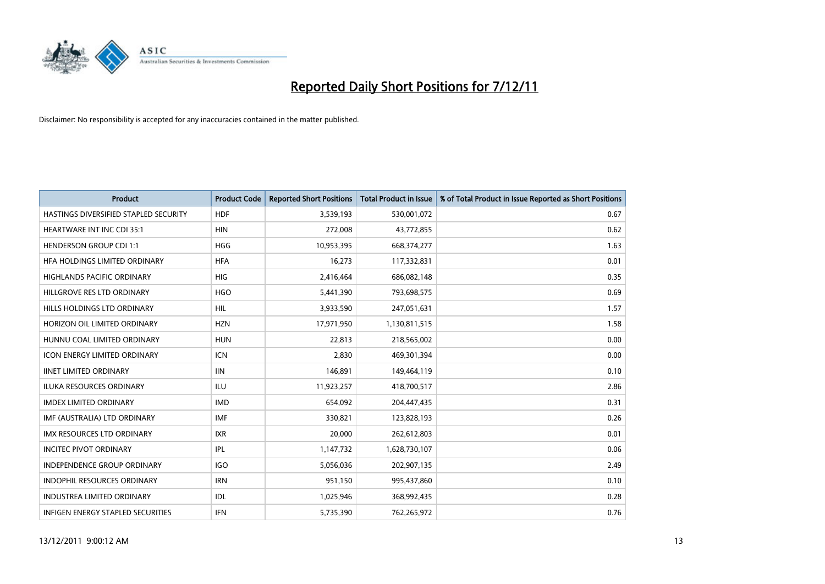

| <b>Product</b>                           | <b>Product Code</b> | <b>Reported Short Positions</b> | <b>Total Product in Issue</b> | % of Total Product in Issue Reported as Short Positions |
|------------------------------------------|---------------------|---------------------------------|-------------------------------|---------------------------------------------------------|
| HASTINGS DIVERSIFIED STAPLED SECURITY    | <b>HDF</b>          | 3,539,193                       | 530,001,072                   | 0.67                                                    |
| HEARTWARE INT INC CDI 35:1               | <b>HIN</b>          | 272,008                         | 43,772,855                    | 0.62                                                    |
| <b>HENDERSON GROUP CDI 1:1</b>           | <b>HGG</b>          | 10,953,395                      | 668,374,277                   | 1.63                                                    |
| HFA HOLDINGS LIMITED ORDINARY            | <b>HFA</b>          | 16,273                          | 117,332,831                   | 0.01                                                    |
| <b>HIGHLANDS PACIFIC ORDINARY</b>        | <b>HIG</b>          | 2,416,464                       | 686,082,148                   | 0.35                                                    |
| HILLGROVE RES LTD ORDINARY               | <b>HGO</b>          | 5,441,390                       | 793,698,575                   | 0.69                                                    |
| HILLS HOLDINGS LTD ORDINARY              | <b>HIL</b>          | 3,933,590                       | 247,051,631                   | 1.57                                                    |
| HORIZON OIL LIMITED ORDINARY             | <b>HZN</b>          | 17,971,950                      | 1,130,811,515                 | 1.58                                                    |
| HUNNU COAL LIMITED ORDINARY              | <b>HUN</b>          | 22,813                          | 218,565,002                   | 0.00                                                    |
| <b>ICON ENERGY LIMITED ORDINARY</b>      | <b>ICN</b>          | 2,830                           | 469,301,394                   | 0.00                                                    |
| <b>IINET LIMITED ORDINARY</b>            | <b>IIN</b>          | 146,891                         | 149,464,119                   | 0.10                                                    |
| <b>ILUKA RESOURCES ORDINARY</b>          | ILU                 | 11,923,257                      | 418,700,517                   | 2.86                                                    |
| <b>IMDEX LIMITED ORDINARY</b>            | <b>IMD</b>          | 654,092                         | 204,447,435                   | 0.31                                                    |
| IMF (AUSTRALIA) LTD ORDINARY             | <b>IMF</b>          | 330,821                         | 123,828,193                   | 0.26                                                    |
| <b>IMX RESOURCES LTD ORDINARY</b>        | <b>IXR</b>          | 20,000                          | 262,612,803                   | 0.01                                                    |
| <b>INCITEC PIVOT ORDINARY</b>            | <b>IPL</b>          | 1,147,732                       | 1,628,730,107                 | 0.06                                                    |
| <b>INDEPENDENCE GROUP ORDINARY</b>       | <b>IGO</b>          | 5,056,036                       | 202,907,135                   | 2.49                                                    |
| INDOPHIL RESOURCES ORDINARY              | <b>IRN</b>          | 951,150                         | 995,437,860                   | 0.10                                                    |
| <b>INDUSTREA LIMITED ORDINARY</b>        | IDL                 | 1,025,946                       | 368,992,435                   | 0.28                                                    |
| <b>INFIGEN ENERGY STAPLED SECURITIES</b> | <b>IFN</b>          | 5,735,390                       | 762,265,972                   | 0.76                                                    |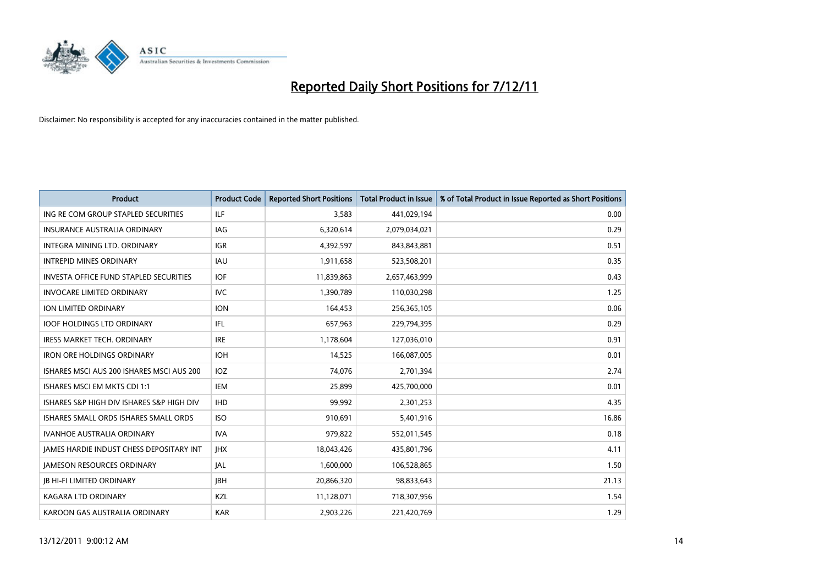

| <b>Product</b>                                  | <b>Product Code</b> | <b>Reported Short Positions</b> | <b>Total Product in Issue</b> | % of Total Product in Issue Reported as Short Positions |
|-------------------------------------------------|---------------------|---------------------------------|-------------------------------|---------------------------------------------------------|
| ING RE COM GROUP STAPLED SECURITIES             | <b>ILF</b>          | 3,583                           | 441,029,194                   | 0.00                                                    |
| INSURANCE AUSTRALIA ORDINARY                    | IAG                 | 6,320,614                       | 2,079,034,021                 | 0.29                                                    |
| INTEGRA MINING LTD. ORDINARY                    | <b>IGR</b>          | 4,392,597                       | 843,843,881                   | 0.51                                                    |
| <b>INTREPID MINES ORDINARY</b>                  | <b>IAU</b>          | 1,911,658                       | 523,508,201                   | 0.35                                                    |
| <b>INVESTA OFFICE FUND STAPLED SECURITIES</b>   | <b>IOF</b>          | 11,839,863                      | 2,657,463,999                 | 0.43                                                    |
| <b>INVOCARE LIMITED ORDINARY</b>                | <b>IVC</b>          | 1,390,789                       | 110,030,298                   | 1.25                                                    |
| ION LIMITED ORDINARY                            | <b>ION</b>          | 164,453                         | 256,365,105                   | 0.06                                                    |
| <b>IOOF HOLDINGS LTD ORDINARY</b>               | <b>IFL</b>          | 657,963                         | 229,794,395                   | 0.29                                                    |
| <b>IRESS MARKET TECH. ORDINARY</b>              | <b>IRE</b>          | 1,178,604                       | 127,036,010                   | 0.91                                                    |
| <b>IRON ORE HOLDINGS ORDINARY</b>               | <b>IOH</b>          | 14,525                          | 166,087,005                   | 0.01                                                    |
| ISHARES MSCI AUS 200 ISHARES MSCI AUS 200       | <b>IOZ</b>          | 74,076                          | 2,701,394                     | 2.74                                                    |
| ISHARES MSCI EM MKTS CDI 1:1                    | <b>IEM</b>          | 25,899                          | 425,700,000                   | 0.01                                                    |
| ISHARES S&P HIGH DIV ISHARES S&P HIGH DIV       | <b>IHD</b>          | 99,992                          | 2,301,253                     | 4.35                                                    |
| ISHARES SMALL ORDS ISHARES SMALL ORDS           | <b>ISO</b>          | 910,691                         | 5,401,916                     | 16.86                                                   |
| <b>IVANHOE AUSTRALIA ORDINARY</b>               | <b>IVA</b>          | 979,822                         | 552,011,545                   | 0.18                                                    |
| <b>JAMES HARDIE INDUST CHESS DEPOSITARY INT</b> | <b>IHX</b>          | 18,043,426                      | 435,801,796                   | 4.11                                                    |
| <b>JAMESON RESOURCES ORDINARY</b>               | IAL                 | 1,600,000                       | 106,528,865                   | 1.50                                                    |
| <b>JB HI-FI LIMITED ORDINARY</b>                | <b>IBH</b>          | 20,866,320                      | 98,833,643                    | 21.13                                                   |
| <b>KAGARA LTD ORDINARY</b>                      | <b>KZL</b>          | 11,128,071                      | 718,307,956                   | 1.54                                                    |
| KAROON GAS AUSTRALIA ORDINARY                   | <b>KAR</b>          | 2.903.226                       | 221,420,769                   | 1.29                                                    |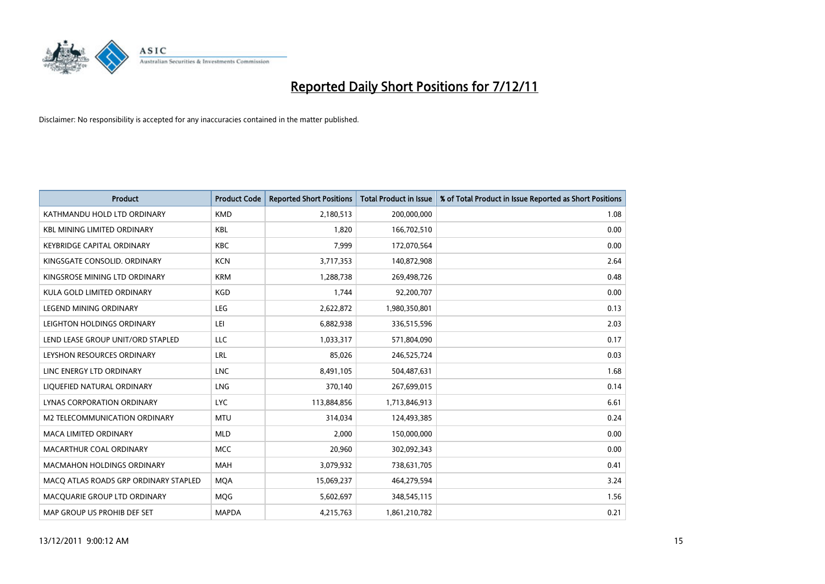

| <b>Product</b>                        | <b>Product Code</b> | <b>Reported Short Positions</b> | <b>Total Product in Issue</b> | % of Total Product in Issue Reported as Short Positions |
|---------------------------------------|---------------------|---------------------------------|-------------------------------|---------------------------------------------------------|
| KATHMANDU HOLD LTD ORDINARY           | <b>KMD</b>          | 2,180,513                       | 200,000,000                   | 1.08                                                    |
| <b>KBL MINING LIMITED ORDINARY</b>    | <b>KBL</b>          | 1,820                           | 166,702,510                   | 0.00                                                    |
| <b>KEYBRIDGE CAPITAL ORDINARY</b>     | <b>KBC</b>          | 7,999                           | 172,070,564                   | 0.00                                                    |
| KINGSGATE CONSOLID. ORDINARY          | <b>KCN</b>          | 3,717,353                       | 140,872,908                   | 2.64                                                    |
| KINGSROSE MINING LTD ORDINARY         | <b>KRM</b>          | 1,288,738                       | 269,498,726                   | 0.48                                                    |
| KULA GOLD LIMITED ORDINARY            | <b>KGD</b>          | 1,744                           | 92,200,707                    | 0.00                                                    |
| <b>LEGEND MINING ORDINARY</b>         | <b>LEG</b>          | 2,622,872                       | 1,980,350,801                 | 0.13                                                    |
| LEIGHTON HOLDINGS ORDINARY            | LEI                 | 6,882,938                       | 336,515,596                   | 2.03                                                    |
| LEND LEASE GROUP UNIT/ORD STAPLED     | LLC                 | 1,033,317                       | 571,804,090                   | 0.17                                                    |
| LEYSHON RESOURCES ORDINARY            | LRL                 | 85,026                          | 246,525,724                   | 0.03                                                    |
| LINC ENERGY LTD ORDINARY              | <b>LNC</b>          | 8,491,105                       | 504,487,631                   | 1.68                                                    |
| LIQUEFIED NATURAL ORDINARY            | <b>LNG</b>          | 370,140                         | 267,699,015                   | 0.14                                                    |
| LYNAS CORPORATION ORDINARY            | <b>LYC</b>          | 113,884,856                     | 1,713,846,913                 | 6.61                                                    |
| M2 TELECOMMUNICATION ORDINARY         | <b>MTU</b>          | 314,034                         | 124,493,385                   | 0.24                                                    |
| <b>MACA LIMITED ORDINARY</b>          | <b>MLD</b>          | 2,000                           | 150,000,000                   | 0.00                                                    |
| MACARTHUR COAL ORDINARY               | <b>MCC</b>          | 20,960                          | 302,092,343                   | 0.00                                                    |
| <b>MACMAHON HOLDINGS ORDINARY</b>     | <b>MAH</b>          | 3,079,932                       | 738,631,705                   | 0.41                                                    |
| MACQ ATLAS ROADS GRP ORDINARY STAPLED | <b>MOA</b>          | 15,069,237                      | 464,279,594                   | 3.24                                                    |
| MACOUARIE GROUP LTD ORDINARY          | MQG                 | 5,602,697                       | 348,545,115                   | 1.56                                                    |
| MAP GROUP US PROHIB DEF SET           | <b>MAPDA</b>        | 4,215,763                       | 1,861,210,782                 | 0.21                                                    |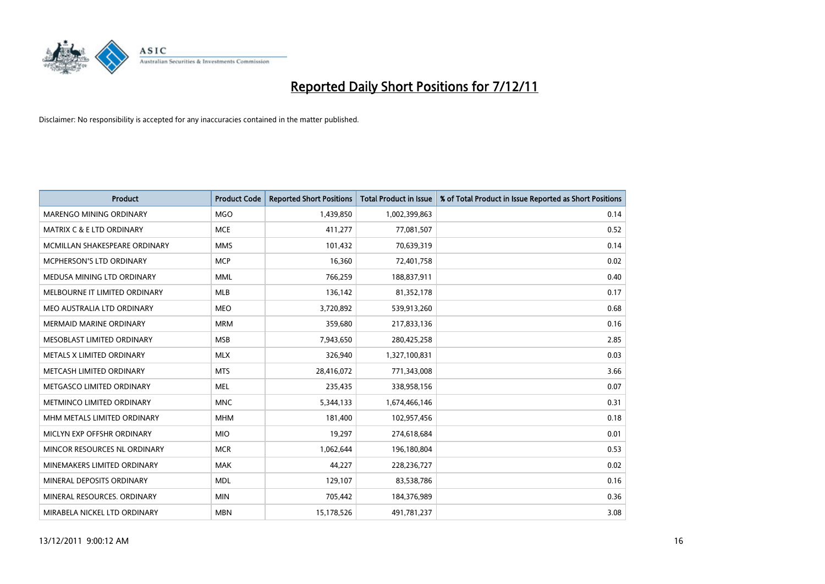

| <b>Product</b>                 | <b>Product Code</b> | <b>Reported Short Positions</b> | <b>Total Product in Issue</b> | % of Total Product in Issue Reported as Short Positions |
|--------------------------------|---------------------|---------------------------------|-------------------------------|---------------------------------------------------------|
| <b>MARENGO MINING ORDINARY</b> | <b>MGO</b>          | 1,439,850                       | 1,002,399,863                 | 0.14                                                    |
| MATRIX C & E LTD ORDINARY      | <b>MCE</b>          | 411,277                         | 77,081,507                    | 0.52                                                    |
| MCMILLAN SHAKESPEARE ORDINARY  | <b>MMS</b>          | 101,432                         | 70,639,319                    | 0.14                                                    |
| MCPHERSON'S LTD ORDINARY       | <b>MCP</b>          | 16,360                          | 72,401,758                    | 0.02                                                    |
| MEDUSA MINING LTD ORDINARY     | <b>MML</b>          | 766,259                         | 188,837,911                   | 0.40                                                    |
| MELBOURNE IT LIMITED ORDINARY  | <b>MLB</b>          | 136,142                         | 81,352,178                    | 0.17                                                    |
| MEO AUSTRALIA LTD ORDINARY     | <b>MEO</b>          | 3,720,892                       | 539,913,260                   | 0.68                                                    |
| <b>MERMAID MARINE ORDINARY</b> | <b>MRM</b>          | 359,680                         | 217,833,136                   | 0.16                                                    |
| MESOBLAST LIMITED ORDINARY     | <b>MSB</b>          | 7,943,650                       | 280,425,258                   | 2.85                                                    |
| METALS X LIMITED ORDINARY      | <b>MLX</b>          | 326,940                         | 1,327,100,831                 | 0.03                                                    |
| METCASH LIMITED ORDINARY       | <b>MTS</b>          | 28,416,072                      | 771,343,008                   | 3.66                                                    |
| METGASCO LIMITED ORDINARY      | <b>MEL</b>          | 235,435                         | 338,958,156                   | 0.07                                                    |
| METMINCO LIMITED ORDINARY      | <b>MNC</b>          | 5,344,133                       | 1,674,466,146                 | 0.31                                                    |
| MHM METALS LIMITED ORDINARY    | <b>MHM</b>          | 181,400                         | 102,957,456                   | 0.18                                                    |
| MICLYN EXP OFFSHR ORDINARY     | <b>MIO</b>          | 19,297                          | 274,618,684                   | 0.01                                                    |
| MINCOR RESOURCES NL ORDINARY   | <b>MCR</b>          | 1,062,644                       | 196,180,804                   | 0.53                                                    |
| MINEMAKERS LIMITED ORDINARY    | <b>MAK</b>          | 44,227                          | 228,236,727                   | 0.02                                                    |
| MINERAL DEPOSITS ORDINARY      | <b>MDL</b>          | 129,107                         | 83,538,786                    | 0.16                                                    |
| MINERAL RESOURCES, ORDINARY    | <b>MIN</b>          | 705,442                         | 184,376,989                   | 0.36                                                    |
| MIRABELA NICKEL LTD ORDINARY   | <b>MBN</b>          | 15,178,526                      | 491,781,237                   | 3.08                                                    |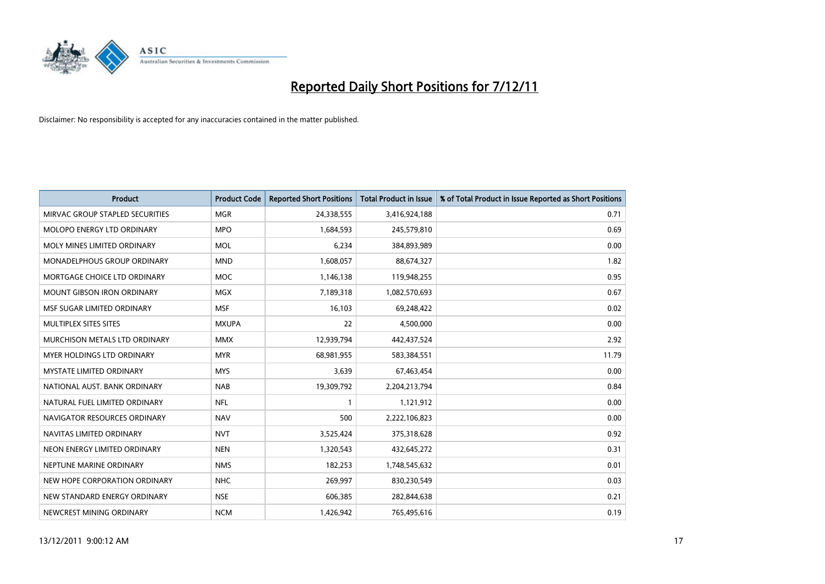

| <b>Product</b>                    | <b>Product Code</b> | <b>Reported Short Positions</b> | <b>Total Product in Issue</b> | % of Total Product in Issue Reported as Short Positions |
|-----------------------------------|---------------------|---------------------------------|-------------------------------|---------------------------------------------------------|
| MIRVAC GROUP STAPLED SECURITIES   | <b>MGR</b>          | 24,338,555                      | 3,416,924,188                 | 0.71                                                    |
| MOLOPO ENERGY LTD ORDINARY        | <b>MPO</b>          | 1,684,593                       | 245,579,810                   | 0.69                                                    |
| MOLY MINES LIMITED ORDINARY       | <b>MOL</b>          | 6,234                           | 384,893,989                   | 0.00                                                    |
| MONADELPHOUS GROUP ORDINARY       | <b>MND</b>          | 1,608,057                       | 88,674,327                    | 1.82                                                    |
| MORTGAGE CHOICE LTD ORDINARY      | <b>MOC</b>          | 1,146,138                       | 119,948,255                   | 0.95                                                    |
| <b>MOUNT GIBSON IRON ORDINARY</b> | <b>MGX</b>          | 7,189,318                       | 1,082,570,693                 | 0.67                                                    |
| MSF SUGAR LIMITED ORDINARY        | <b>MSF</b>          | 16,103                          | 69,248,422                    | 0.02                                                    |
| MULTIPLEX SITES SITES             | <b>MXUPA</b>        | 22                              | 4,500,000                     | 0.00                                                    |
| MURCHISON METALS LTD ORDINARY     | <b>MMX</b>          | 12,939,794                      | 442,437,524                   | 2.92                                                    |
| MYER HOLDINGS LTD ORDINARY        | <b>MYR</b>          | 68,981,955                      | 583,384,551                   | 11.79                                                   |
| <b>MYSTATE LIMITED ORDINARY</b>   | <b>MYS</b>          | 3,639                           | 67,463,454                    | 0.00                                                    |
| NATIONAL AUST. BANK ORDINARY      | <b>NAB</b>          | 19,309,792                      | 2,204,213,794                 | 0.84                                                    |
| NATURAL FUEL LIMITED ORDINARY     | <b>NFL</b>          | $\mathbf{1}$                    | 1,121,912                     | 0.00                                                    |
| NAVIGATOR RESOURCES ORDINARY      | <b>NAV</b>          | 500                             | 2,222,106,823                 | 0.00                                                    |
| NAVITAS LIMITED ORDINARY          | <b>NVT</b>          | 3,525,424                       | 375,318,628                   | 0.92                                                    |
| NEON ENERGY LIMITED ORDINARY      | <b>NEN</b>          | 1,320,543                       | 432,645,272                   | 0.31                                                    |
| NEPTUNE MARINE ORDINARY           | <b>NMS</b>          | 182,253                         | 1,748,545,632                 | 0.01                                                    |
| NEW HOPE CORPORATION ORDINARY     | <b>NHC</b>          | 269,997                         | 830,230,549                   | 0.03                                                    |
| NEW STANDARD ENERGY ORDINARY      | <b>NSE</b>          | 606,385                         | 282,844,638                   | 0.21                                                    |
| NEWCREST MINING ORDINARY          | <b>NCM</b>          | 1,426,942                       | 765,495,616                   | 0.19                                                    |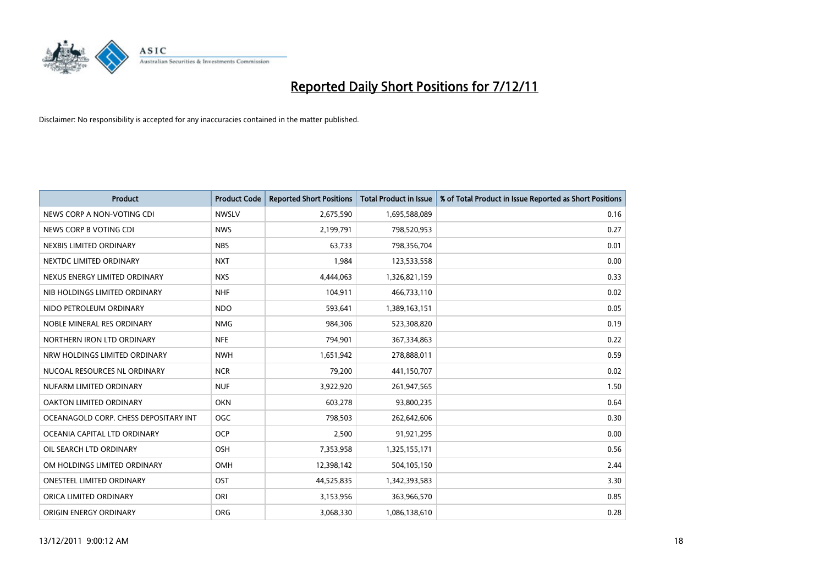

| <b>Product</b>                        | <b>Product Code</b> | <b>Reported Short Positions</b> | <b>Total Product in Issue</b> | % of Total Product in Issue Reported as Short Positions |
|---------------------------------------|---------------------|---------------------------------|-------------------------------|---------------------------------------------------------|
| NEWS CORP A NON-VOTING CDI            | <b>NWSLV</b>        | 2,675,590                       | 1,695,588,089                 | 0.16                                                    |
| NEWS CORP B VOTING CDI                | <b>NWS</b>          | 2,199,791                       | 798,520,953                   | 0.27                                                    |
| NEXBIS LIMITED ORDINARY               | <b>NBS</b>          | 63,733                          | 798,356,704                   | 0.01                                                    |
| NEXTDC LIMITED ORDINARY               | <b>NXT</b>          | 1,984                           | 123,533,558                   | 0.00                                                    |
| NEXUS ENERGY LIMITED ORDINARY         | <b>NXS</b>          | 4,444,063                       | 1,326,821,159                 | 0.33                                                    |
| NIB HOLDINGS LIMITED ORDINARY         | <b>NHF</b>          | 104,911                         | 466,733,110                   | 0.02                                                    |
| NIDO PETROLEUM ORDINARY               | <b>NDO</b>          | 593,641                         | 1,389,163,151                 | 0.05                                                    |
| NOBLE MINERAL RES ORDINARY            | <b>NMG</b>          | 984,306                         | 523,308,820                   | 0.19                                                    |
| NORTHERN IRON LTD ORDINARY            | <b>NFE</b>          | 794,901                         | 367,334,863                   | 0.22                                                    |
| NRW HOLDINGS LIMITED ORDINARY         | <b>NWH</b>          | 1,651,942                       | 278,888,011                   | 0.59                                                    |
| NUCOAL RESOURCES NL ORDINARY          | <b>NCR</b>          | 79,200                          | 441,150,707                   | 0.02                                                    |
| NUFARM LIMITED ORDINARY               | <b>NUF</b>          | 3,922,920                       | 261,947,565                   | 1.50                                                    |
| OAKTON LIMITED ORDINARY               | <b>OKN</b>          | 603,278                         | 93,800,235                    | 0.64                                                    |
| OCEANAGOLD CORP. CHESS DEPOSITARY INT | <b>OGC</b>          | 798,503                         | 262,642,606                   | 0.30                                                    |
| OCEANIA CAPITAL LTD ORDINARY          | <b>OCP</b>          | 2,500                           | 91,921,295                    | 0.00                                                    |
| OIL SEARCH LTD ORDINARY               | OSH                 | 7,353,958                       | 1,325,155,171                 | 0.56                                                    |
| OM HOLDINGS LIMITED ORDINARY          | OMH                 | 12,398,142                      | 504,105,150                   | 2.44                                                    |
| ONESTEEL LIMITED ORDINARY             | OST                 | 44,525,835                      | 1,342,393,583                 | 3.30                                                    |
| ORICA LIMITED ORDINARY                | ORI                 | 3,153,956                       | 363,966,570                   | 0.85                                                    |
| ORIGIN ENERGY ORDINARY                | <b>ORG</b>          | 3,068,330                       | 1,086,138,610                 | 0.28                                                    |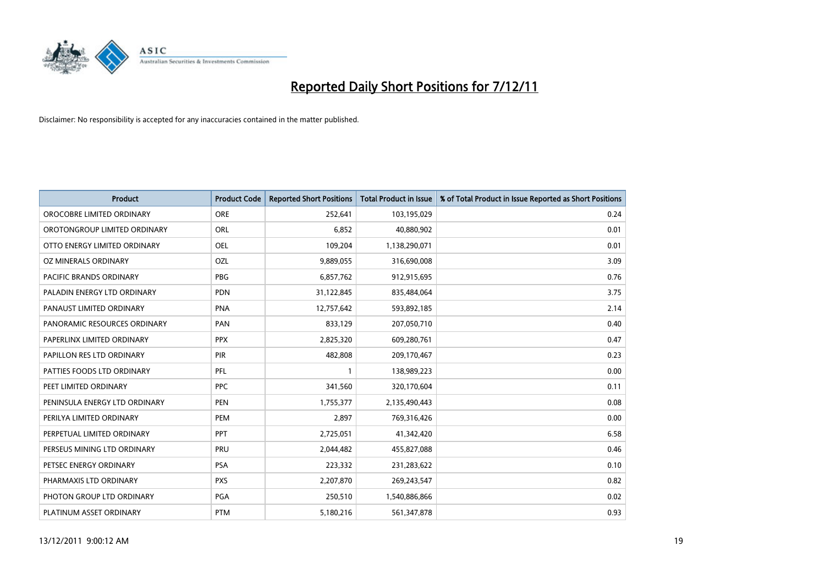

| <b>Product</b>                | <b>Product Code</b> | <b>Reported Short Positions</b> | <b>Total Product in Issue</b> | % of Total Product in Issue Reported as Short Positions |
|-------------------------------|---------------------|---------------------------------|-------------------------------|---------------------------------------------------------|
| OROCOBRE LIMITED ORDINARY     | <b>ORE</b>          | 252,641                         | 103,195,029                   | 0.24                                                    |
| OROTONGROUP LIMITED ORDINARY  | ORL                 | 6,852                           | 40,880,902                    | 0.01                                                    |
| OTTO ENERGY LIMITED ORDINARY  | <b>OEL</b>          | 109,204                         | 1,138,290,071                 | 0.01                                                    |
| OZ MINERALS ORDINARY          | OZL                 | 9,889,055                       | 316,690,008                   | 3.09                                                    |
| PACIFIC BRANDS ORDINARY       | <b>PBG</b>          | 6,857,762                       | 912,915,695                   | 0.76                                                    |
| PALADIN ENERGY LTD ORDINARY   | <b>PDN</b>          | 31,122,845                      | 835,484,064                   | 3.75                                                    |
| PANAUST LIMITED ORDINARY      | <b>PNA</b>          | 12,757,642                      | 593,892,185                   | 2.14                                                    |
| PANORAMIC RESOURCES ORDINARY  | PAN                 | 833,129                         | 207,050,710                   | 0.40                                                    |
| PAPERLINX LIMITED ORDINARY    | <b>PPX</b>          | 2,825,320                       | 609,280,761                   | 0.47                                                    |
| PAPILLON RES LTD ORDINARY     | PIR                 | 482,808                         | 209,170,467                   | 0.23                                                    |
| PATTIES FOODS LTD ORDINARY    | PFL                 |                                 | 138,989,223                   | 0.00                                                    |
| PEET LIMITED ORDINARY         | <b>PPC</b>          | 341,560                         | 320,170,604                   | 0.11                                                    |
| PENINSULA ENERGY LTD ORDINARY | <b>PEN</b>          | 1,755,377                       | 2,135,490,443                 | 0.08                                                    |
| PERILYA LIMITED ORDINARY      | PEM                 | 2,897                           | 769,316,426                   | 0.00                                                    |
| PERPETUAL LIMITED ORDINARY    | <b>PPT</b>          | 2,725,051                       | 41,342,420                    | 6.58                                                    |
| PERSEUS MINING LTD ORDINARY   | PRU                 | 2,044,482                       | 455,827,088                   | 0.46                                                    |
| PETSEC ENERGY ORDINARY        | <b>PSA</b>          | 223,332                         | 231,283,622                   | 0.10                                                    |
| PHARMAXIS LTD ORDINARY        | <b>PXS</b>          | 2,207,870                       | 269,243,547                   | 0.82                                                    |
| PHOTON GROUP LTD ORDINARY     | PGA                 | 250,510                         | 1,540,886,866                 | 0.02                                                    |
| PLATINUM ASSET ORDINARY       | <b>PTM</b>          | 5,180,216                       | 561,347,878                   | 0.93                                                    |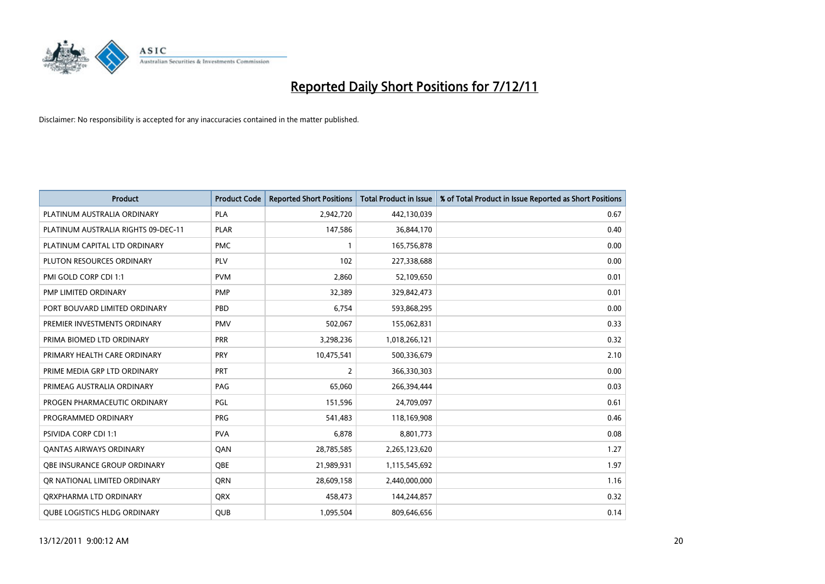

| <b>Product</b>                      | <b>Product Code</b> | <b>Reported Short Positions</b> | <b>Total Product in Issue</b> | % of Total Product in Issue Reported as Short Positions |
|-------------------------------------|---------------------|---------------------------------|-------------------------------|---------------------------------------------------------|
| PLATINUM AUSTRALIA ORDINARY         | <b>PLA</b>          | 2,942,720                       | 442,130,039                   | 0.67                                                    |
| PLATINUM AUSTRALIA RIGHTS 09-DEC-11 | <b>PLAR</b>         | 147,586                         | 36,844,170                    | 0.40                                                    |
| PLATINUM CAPITAL LTD ORDINARY       | <b>PMC</b>          |                                 | 165,756,878                   | 0.00                                                    |
| PLUTON RESOURCES ORDINARY           | <b>PLV</b>          | 102                             | 227,338,688                   | 0.00                                                    |
| PMI GOLD CORP CDI 1:1               | <b>PVM</b>          | 2,860                           | 52,109,650                    | 0.01                                                    |
| PMP LIMITED ORDINARY                | PMP                 | 32,389                          | 329,842,473                   | 0.01                                                    |
| PORT BOUVARD LIMITED ORDINARY       | PBD                 | 6,754                           | 593,868,295                   | 0.00                                                    |
| PREMIER INVESTMENTS ORDINARY        | <b>PMV</b>          | 502,067                         | 155,062,831                   | 0.33                                                    |
| PRIMA BIOMED LTD ORDINARY           | <b>PRR</b>          | 3,298,236                       | 1,018,266,121                 | 0.32                                                    |
| PRIMARY HEALTH CARE ORDINARY        | <b>PRY</b>          | 10,475,541                      | 500,336,679                   | 2.10                                                    |
| PRIME MEDIA GRP LTD ORDINARY        | <b>PRT</b>          | 2                               | 366,330,303                   | 0.00                                                    |
| PRIMEAG AUSTRALIA ORDINARY          | PAG                 | 65,060                          | 266,394,444                   | 0.03                                                    |
| PROGEN PHARMACEUTIC ORDINARY        | <b>PGL</b>          | 151,596                         | 24,709,097                    | 0.61                                                    |
| PROGRAMMED ORDINARY                 | <b>PRG</b>          | 541,483                         | 118,169,908                   | 0.46                                                    |
| PSIVIDA CORP CDI 1:1                | <b>PVA</b>          | 6,878                           | 8,801,773                     | 0.08                                                    |
| <b>QANTAS AIRWAYS ORDINARY</b>      | QAN                 | 28,785,585                      | 2,265,123,620                 | 1.27                                                    |
| OBE INSURANCE GROUP ORDINARY        | <b>OBE</b>          | 21,989,931                      | 1,115,545,692                 | 1.97                                                    |
| OR NATIONAL LIMITED ORDINARY        | <b>ORN</b>          | 28,609,158                      | 2,440,000,000                 | 1.16                                                    |
| ORXPHARMA LTD ORDINARY              | <b>ORX</b>          | 458,473                         | 144,244,857                   | 0.32                                                    |
| <b>QUBE LOGISTICS HLDG ORDINARY</b> | <b>QUB</b>          | 1,095,504                       | 809,646,656                   | 0.14                                                    |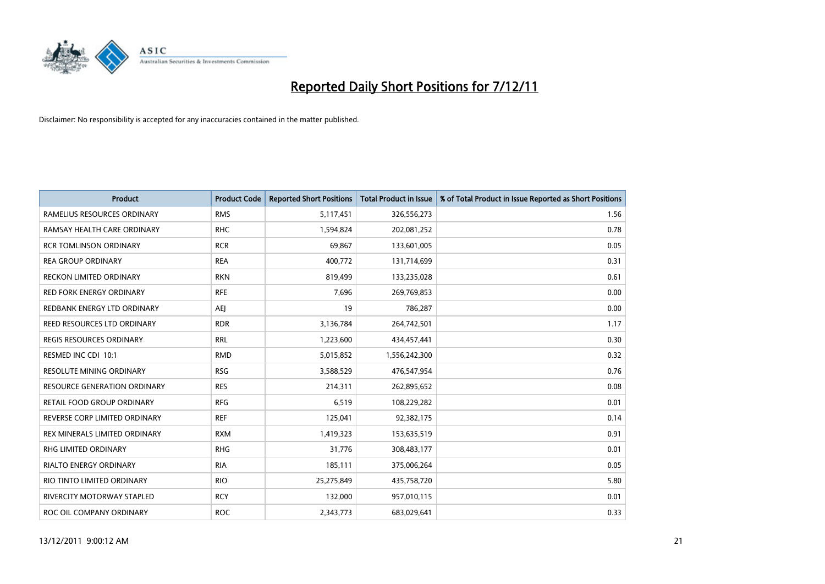

| <b>Product</b>                      | <b>Product Code</b> | <b>Reported Short Positions</b> | <b>Total Product in Issue</b> | % of Total Product in Issue Reported as Short Positions |
|-------------------------------------|---------------------|---------------------------------|-------------------------------|---------------------------------------------------------|
| RAMELIUS RESOURCES ORDINARY         | <b>RMS</b>          | 5,117,451                       | 326,556,273                   | 1.56                                                    |
| RAMSAY HEALTH CARE ORDINARY         | <b>RHC</b>          | 1,594,824                       | 202,081,252                   | 0.78                                                    |
| <b>RCR TOMLINSON ORDINARY</b>       | <b>RCR</b>          | 69.867                          | 133,601,005                   | 0.05                                                    |
| <b>REA GROUP ORDINARY</b>           | <b>REA</b>          | 400,772                         | 131,714,699                   | 0.31                                                    |
| <b>RECKON LIMITED ORDINARY</b>      | <b>RKN</b>          | 819,499                         | 133,235,028                   | 0.61                                                    |
| <b>RED FORK ENERGY ORDINARY</b>     | <b>RFE</b>          | 7,696                           | 269,769,853                   | 0.00                                                    |
| REDBANK ENERGY LTD ORDINARY         | AEJ                 | 19                              | 786,287                       | 0.00                                                    |
| REED RESOURCES LTD ORDINARY         | <b>RDR</b>          | 3,136,784                       | 264,742,501                   | 1.17                                                    |
| <b>REGIS RESOURCES ORDINARY</b>     | <b>RRL</b>          | 1,223,600                       | 434,457,441                   | 0.30                                                    |
| RESMED INC CDI 10:1                 | <b>RMD</b>          | 5,015,852                       | 1,556,242,300                 | 0.32                                                    |
| RESOLUTE MINING ORDINARY            | <b>RSG</b>          | 3,588,529                       | 476,547,954                   | 0.76                                                    |
| <b>RESOURCE GENERATION ORDINARY</b> | <b>RES</b>          | 214,311                         | 262,895,652                   | 0.08                                                    |
| RETAIL FOOD GROUP ORDINARY          | <b>RFG</b>          | 6,519                           | 108,229,282                   | 0.01                                                    |
| REVERSE CORP LIMITED ORDINARY       | <b>REF</b>          | 125,041                         | 92,382,175                    | 0.14                                                    |
| REX MINERALS LIMITED ORDINARY       | <b>RXM</b>          | 1,419,323                       | 153,635,519                   | 0.91                                                    |
| RHG LIMITED ORDINARY                | <b>RHG</b>          | 31,776                          | 308,483,177                   | 0.01                                                    |
| RIALTO ENERGY ORDINARY              | <b>RIA</b>          | 185,111                         | 375,006,264                   | 0.05                                                    |
| RIO TINTO LIMITED ORDINARY          | <b>RIO</b>          | 25,275,849                      | 435,758,720                   | 5.80                                                    |
| <b>RIVERCITY MOTORWAY STAPLED</b>   | <b>RCY</b>          | 132,000                         | 957,010,115                   | 0.01                                                    |
| ROC OIL COMPANY ORDINARY            | <b>ROC</b>          | 2,343,773                       | 683,029,641                   | 0.33                                                    |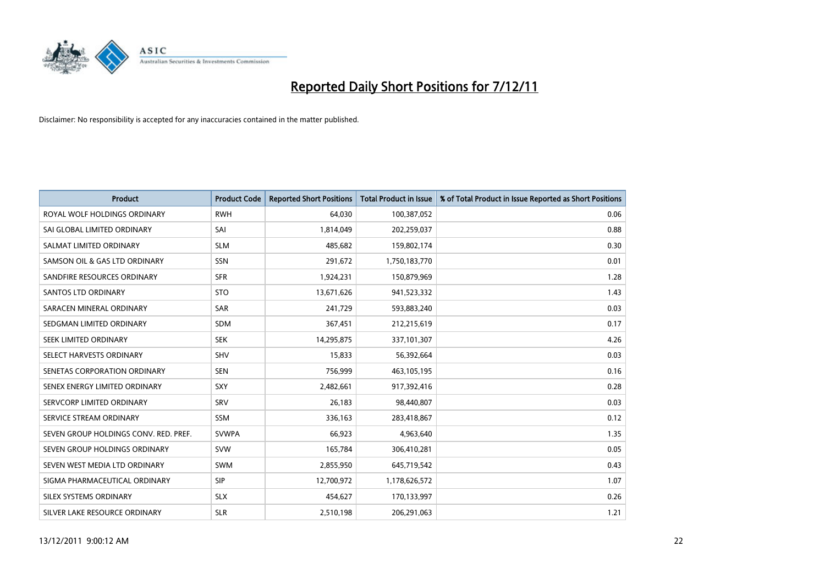

| <b>Product</b>                        | <b>Product Code</b> | <b>Reported Short Positions</b> | <b>Total Product in Issue</b> | % of Total Product in Issue Reported as Short Positions |
|---------------------------------------|---------------------|---------------------------------|-------------------------------|---------------------------------------------------------|
| ROYAL WOLF HOLDINGS ORDINARY          | <b>RWH</b>          | 64,030                          | 100,387,052                   | 0.06                                                    |
| SAI GLOBAL LIMITED ORDINARY           | SAI                 | 1,814,049                       | 202,259,037                   | 0.88                                                    |
| SALMAT LIMITED ORDINARY               | <b>SLM</b>          | 485,682                         | 159,802,174                   | 0.30                                                    |
| SAMSON OIL & GAS LTD ORDINARY         | <b>SSN</b>          | 291,672                         | 1,750,183,770                 | 0.01                                                    |
| SANDFIRE RESOURCES ORDINARY           | <b>SFR</b>          | 1,924,231                       | 150,879,969                   | 1.28                                                    |
| SANTOS LTD ORDINARY                   | <b>STO</b>          | 13,671,626                      | 941,523,332                   | 1.43                                                    |
| SARACEN MINERAL ORDINARY              | <b>SAR</b>          | 241.729                         | 593,883,240                   | 0.03                                                    |
| SEDGMAN LIMITED ORDINARY              | <b>SDM</b>          | 367,451                         | 212,215,619                   | 0.17                                                    |
| SEEK LIMITED ORDINARY                 | <b>SEK</b>          | 14,295,875                      | 337,101,307                   | 4.26                                                    |
| SELECT HARVESTS ORDINARY              | <b>SHV</b>          | 15,833                          | 56,392,664                    | 0.03                                                    |
| SENETAS CORPORATION ORDINARY          | <b>SEN</b>          | 756,999                         | 463,105,195                   | 0.16                                                    |
| SENEX ENERGY LIMITED ORDINARY         | <b>SXY</b>          | 2,482,661                       | 917,392,416                   | 0.28                                                    |
| SERVCORP LIMITED ORDINARY             | SRV                 | 26,183                          | 98,440,807                    | 0.03                                                    |
| SERVICE STREAM ORDINARY               | <b>SSM</b>          | 336,163                         | 283,418,867                   | 0.12                                                    |
| SEVEN GROUP HOLDINGS CONV. RED. PREF. | <b>SVWPA</b>        | 66,923                          | 4,963,640                     | 1.35                                                    |
| SEVEN GROUP HOLDINGS ORDINARY         | <b>SVW</b>          | 165,784                         | 306,410,281                   | 0.05                                                    |
| SEVEN WEST MEDIA LTD ORDINARY         | <b>SWM</b>          | 2,855,950                       | 645,719,542                   | 0.43                                                    |
| SIGMA PHARMACEUTICAL ORDINARY         | <b>SIP</b>          | 12,700,972                      | 1,178,626,572                 | 1.07                                                    |
| SILEX SYSTEMS ORDINARY                | <b>SLX</b>          | 454,627                         | 170,133,997                   | 0.26                                                    |
| SILVER LAKE RESOURCE ORDINARY         | <b>SLR</b>          | 2,510,198                       | 206,291,063                   | 1.21                                                    |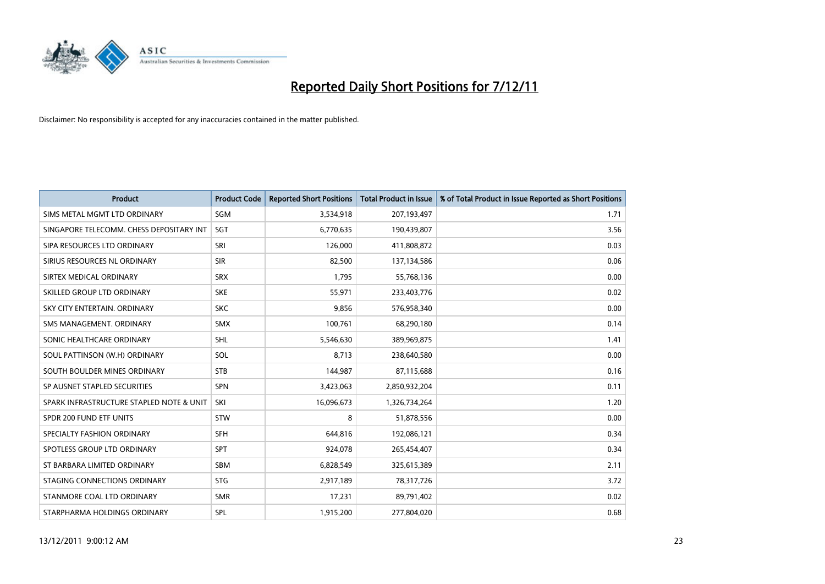

| <b>Product</b>                           | <b>Product Code</b> | <b>Reported Short Positions</b> | <b>Total Product in Issue</b> | % of Total Product in Issue Reported as Short Positions |
|------------------------------------------|---------------------|---------------------------------|-------------------------------|---------------------------------------------------------|
| SIMS METAL MGMT LTD ORDINARY             | <b>SGM</b>          | 3,534,918                       | 207,193,497                   | 1.71                                                    |
| SINGAPORE TELECOMM. CHESS DEPOSITARY INT | <b>SGT</b>          | 6,770,635                       | 190,439,807                   | 3.56                                                    |
| SIPA RESOURCES LTD ORDINARY              | <b>SRI</b>          | 126,000                         | 411,808,872                   | 0.03                                                    |
| SIRIUS RESOURCES NL ORDINARY             | <b>SIR</b>          | 82,500                          | 137,134,586                   | 0.06                                                    |
| SIRTEX MEDICAL ORDINARY                  | <b>SRX</b>          | 1,795                           | 55,768,136                    | 0.00                                                    |
| SKILLED GROUP LTD ORDINARY               | <b>SKE</b>          | 55,971                          | 233,403,776                   | 0.02                                                    |
| SKY CITY ENTERTAIN, ORDINARY             | <b>SKC</b>          | 9.856                           | 576,958,340                   | 0.00                                                    |
| SMS MANAGEMENT, ORDINARY                 | <b>SMX</b>          | 100,761                         | 68,290,180                    | 0.14                                                    |
| SONIC HEALTHCARE ORDINARY                | <b>SHL</b>          | 5,546,630                       | 389,969,875                   | 1.41                                                    |
| SOUL PATTINSON (W.H) ORDINARY            | SOL                 | 8,713                           | 238,640,580                   | 0.00                                                    |
| SOUTH BOULDER MINES ORDINARY             | <b>STB</b>          | 144,987                         | 87,115,688                    | 0.16                                                    |
| SP AUSNET STAPLED SECURITIES             | <b>SPN</b>          | 3,423,063                       | 2,850,932,204                 | 0.11                                                    |
| SPARK INFRASTRUCTURE STAPLED NOTE & UNIT | SKI                 | 16,096,673                      | 1,326,734,264                 | 1.20                                                    |
| SPDR 200 FUND ETF UNITS                  | <b>STW</b>          | 8                               | 51,878,556                    | 0.00                                                    |
| SPECIALTY FASHION ORDINARY               | <b>SFH</b>          | 644,816                         | 192,086,121                   | 0.34                                                    |
| SPOTLESS GROUP LTD ORDINARY              | <b>SPT</b>          | 924,078                         | 265,454,407                   | 0.34                                                    |
| ST BARBARA LIMITED ORDINARY              | <b>SBM</b>          | 6,828,549                       | 325,615,389                   | 2.11                                                    |
| STAGING CONNECTIONS ORDINARY             | <b>STG</b>          | 2,917,189                       | 78,317,726                    | 3.72                                                    |
| STANMORE COAL LTD ORDINARY               | <b>SMR</b>          | 17,231                          | 89,791,402                    | 0.02                                                    |
| STARPHARMA HOLDINGS ORDINARY             | SPL                 | 1,915,200                       | 277,804,020                   | 0.68                                                    |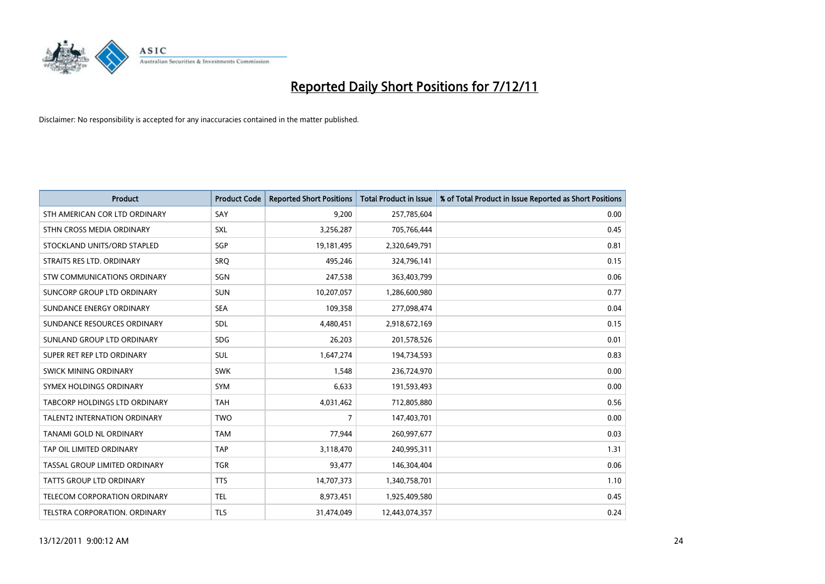

| <b>Product</b>                       | <b>Product Code</b> | <b>Reported Short Positions</b> | <b>Total Product in Issue</b> | % of Total Product in Issue Reported as Short Positions |
|--------------------------------------|---------------------|---------------------------------|-------------------------------|---------------------------------------------------------|
| STH AMERICAN COR LTD ORDINARY        | SAY                 | 9,200                           | 257,785,604                   | 0.00                                                    |
| STHN CROSS MEDIA ORDINARY            | <b>SXL</b>          | 3,256,287                       | 705,766,444                   | 0.45                                                    |
| STOCKLAND UNITS/ORD STAPLED          | SGP                 | 19,181,495                      | 2,320,649,791                 | 0.81                                                    |
| STRAITS RES LTD. ORDINARY            | SRO                 | 495,246                         | 324,796,141                   | 0.15                                                    |
| <b>STW COMMUNICATIONS ORDINARY</b>   | SGN                 | 247,538                         | 363,403,799                   | 0.06                                                    |
| SUNCORP GROUP LTD ORDINARY           | <b>SUN</b>          | 10,207,057                      | 1,286,600,980                 | 0.77                                                    |
| SUNDANCE ENERGY ORDINARY             | <b>SEA</b>          | 109,358                         | 277,098,474                   | 0.04                                                    |
| SUNDANCE RESOURCES ORDINARY          | <b>SDL</b>          | 4,480,451                       | 2,918,672,169                 | 0.15                                                    |
| SUNLAND GROUP LTD ORDINARY           | <b>SDG</b>          | 26,203                          | 201,578,526                   | 0.01                                                    |
| SUPER RET REP LTD ORDINARY           | <b>SUL</b>          | 1,647,274                       | 194,734,593                   | 0.83                                                    |
| <b>SWICK MINING ORDINARY</b>         | <b>SWK</b>          | 1.548                           | 236,724,970                   | 0.00                                                    |
| SYMEX HOLDINGS ORDINARY              | <b>SYM</b>          | 6,633                           | 191,593,493                   | 0.00                                                    |
| <b>TABCORP HOLDINGS LTD ORDINARY</b> | <b>TAH</b>          | 4,031,462                       | 712,805,880                   | 0.56                                                    |
| <b>TALENT2 INTERNATION ORDINARY</b>  | <b>TWO</b>          | 7                               | 147,403,701                   | 0.00                                                    |
| TANAMI GOLD NL ORDINARY              | <b>TAM</b>          | 77,944                          | 260,997,677                   | 0.03                                                    |
| TAP OIL LIMITED ORDINARY             | <b>TAP</b>          | 3,118,470                       | 240,995,311                   | 1.31                                                    |
| TASSAL GROUP LIMITED ORDINARY        | <b>TGR</b>          | 93,477                          | 146,304,404                   | 0.06                                                    |
| TATTS GROUP LTD ORDINARY             | <b>TTS</b>          | 14,707,373                      | 1,340,758,701                 | 1.10                                                    |
| <b>TELECOM CORPORATION ORDINARY</b>  | <b>TEL</b>          | 8,973,451                       | 1,925,409,580                 | 0.45                                                    |
| TELSTRA CORPORATION, ORDINARY        | <b>TLS</b>          | 31,474,049                      | 12,443,074,357                | 0.24                                                    |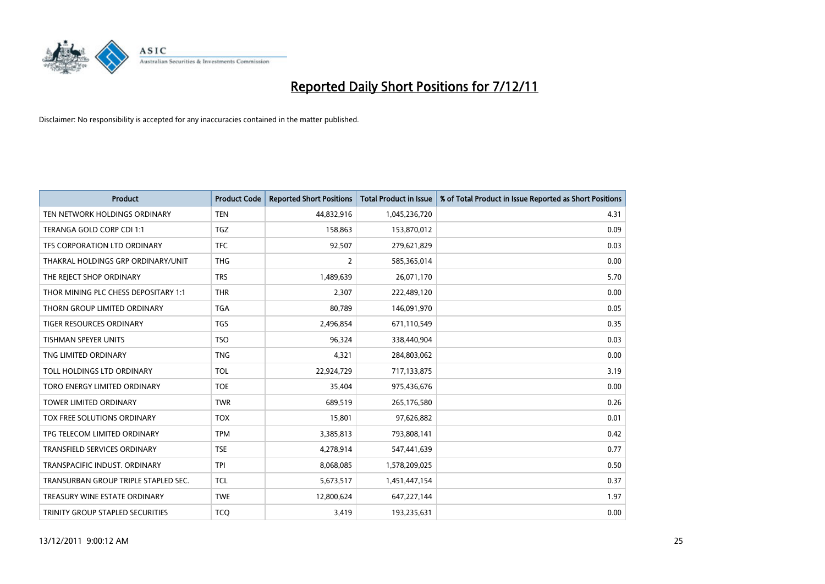

| <b>Product</b>                       | <b>Product Code</b> | <b>Reported Short Positions</b> | <b>Total Product in Issue</b> | % of Total Product in Issue Reported as Short Positions |
|--------------------------------------|---------------------|---------------------------------|-------------------------------|---------------------------------------------------------|
| TEN NETWORK HOLDINGS ORDINARY        | <b>TEN</b>          | 44,832,916                      | 1,045,236,720                 | 4.31                                                    |
| TERANGA GOLD CORP CDI 1:1            | <b>TGZ</b>          | 158,863                         | 153,870,012                   | 0.09                                                    |
| TFS CORPORATION LTD ORDINARY         | <b>TFC</b>          | 92,507                          | 279,621,829                   | 0.03                                                    |
| THAKRAL HOLDINGS GRP ORDINARY/UNIT   | <b>THG</b>          | $\overline{2}$                  | 585,365,014                   | 0.00                                                    |
| THE REJECT SHOP ORDINARY             | <b>TRS</b>          | 1,489,639                       | 26,071,170                    | 5.70                                                    |
| THOR MINING PLC CHESS DEPOSITARY 1:1 | <b>THR</b>          | 2,307                           | 222,489,120                   | 0.00                                                    |
| THORN GROUP LIMITED ORDINARY         | <b>TGA</b>          | 80,789                          | 146,091,970                   | 0.05                                                    |
| TIGER RESOURCES ORDINARY             | <b>TGS</b>          | 2,496,854                       | 671,110,549                   | 0.35                                                    |
| TISHMAN SPEYER UNITS                 | <b>TSO</b>          | 96,324                          | 338,440,904                   | 0.03                                                    |
| TNG LIMITED ORDINARY                 | <b>TNG</b>          | 4,321                           | 284,803,062                   | 0.00                                                    |
| TOLL HOLDINGS LTD ORDINARY           | <b>TOL</b>          | 22,924,729                      | 717,133,875                   | 3.19                                                    |
| TORO ENERGY LIMITED ORDINARY         | <b>TOE</b>          | 35,404                          | 975,436,676                   | 0.00                                                    |
| <b>TOWER LIMITED ORDINARY</b>        | <b>TWR</b>          | 689,519                         | 265,176,580                   | 0.26                                                    |
| TOX FREE SOLUTIONS ORDINARY          | <b>TOX</b>          | 15,801                          | 97,626,882                    | 0.01                                                    |
| TPG TELECOM LIMITED ORDINARY         | <b>TPM</b>          | 3,385,813                       | 793,808,141                   | 0.42                                                    |
| <b>TRANSFIELD SERVICES ORDINARY</b>  | <b>TSE</b>          | 4,278,914                       | 547,441,639                   | 0.77                                                    |
| TRANSPACIFIC INDUST, ORDINARY        | <b>TPI</b>          | 8,068,085                       | 1,578,209,025                 | 0.50                                                    |
| TRANSURBAN GROUP TRIPLE STAPLED SEC. | <b>TCL</b>          | 5,673,517                       | 1,451,447,154                 | 0.37                                                    |
| TREASURY WINE ESTATE ORDINARY        | <b>TWE</b>          | 12,800,624                      | 647,227,144                   | 1.97                                                    |
| TRINITY GROUP STAPLED SECURITIES     | <b>TCO</b>          | 3,419                           | 193,235,631                   | 0.00                                                    |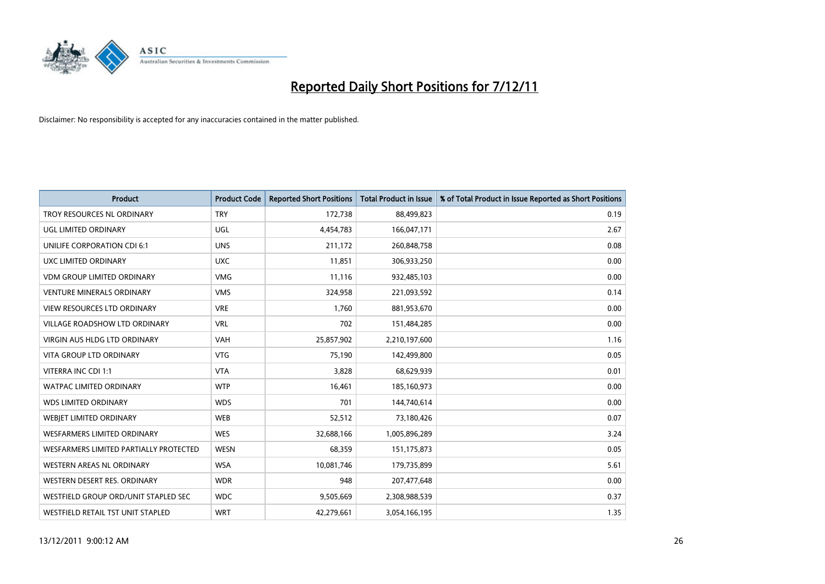

| <b>Product</b>                         | <b>Product Code</b> | <b>Reported Short Positions</b> | <b>Total Product in Issue</b> | % of Total Product in Issue Reported as Short Positions |
|----------------------------------------|---------------------|---------------------------------|-------------------------------|---------------------------------------------------------|
| TROY RESOURCES NL ORDINARY             | <b>TRY</b>          | 172,738                         | 88,499,823                    | 0.19                                                    |
| UGL LIMITED ORDINARY                   | UGL                 | 4,454,783                       | 166,047,171                   | 2.67                                                    |
| <b>UNILIFE CORPORATION CDI 6:1</b>     | <b>UNS</b>          | 211.172                         | 260,848,758                   | 0.08                                                    |
| UXC LIMITED ORDINARY                   | <b>UXC</b>          | 11,851                          | 306,933,250                   | 0.00                                                    |
| <b>VDM GROUP LIMITED ORDINARY</b>      | <b>VMG</b>          | 11,116                          | 932,485,103                   | 0.00                                                    |
| <b>VENTURE MINERALS ORDINARY</b>       | <b>VMS</b>          | 324,958                         | 221,093,592                   | 0.14                                                    |
| <b>VIEW RESOURCES LTD ORDINARY</b>     | <b>VRE</b>          | 1,760                           | 881,953,670                   | 0.00                                                    |
| VILLAGE ROADSHOW LTD ORDINARY          | <b>VRL</b>          | 702                             | 151,484,285                   | 0.00                                                    |
| <b>VIRGIN AUS HLDG LTD ORDINARY</b>    | <b>VAH</b>          | 25,857,902                      | 2,210,197,600                 | 1.16                                                    |
| <b>VITA GROUP LTD ORDINARY</b>         | <b>VTG</b>          | 75,190                          | 142,499,800                   | 0.05                                                    |
| VITERRA INC CDI 1:1                    | <b>VTA</b>          | 3,828                           | 68,629,939                    | 0.01                                                    |
| <b>WATPAC LIMITED ORDINARY</b>         | <b>WTP</b>          | 16,461                          | 185,160,973                   | 0.00                                                    |
| <b>WDS LIMITED ORDINARY</b>            | <b>WDS</b>          | 701                             | 144,740,614                   | 0.00                                                    |
| <b>WEBIET LIMITED ORDINARY</b>         | <b>WEB</b>          | 52,512                          | 73,180,426                    | 0.07                                                    |
| <b>WESFARMERS LIMITED ORDINARY</b>     | <b>WES</b>          | 32,688,166                      | 1,005,896,289                 | 3.24                                                    |
| WESFARMERS LIMITED PARTIALLY PROTECTED | <b>WESN</b>         | 68,359                          | 151, 175, 873                 | 0.05                                                    |
| WESTERN AREAS NL ORDINARY              | <b>WSA</b>          | 10,081,746                      | 179,735,899                   | 5.61                                                    |
| WESTERN DESERT RES. ORDINARY           | <b>WDR</b>          | 948                             | 207,477,648                   | 0.00                                                    |
| WESTFIELD GROUP ORD/UNIT STAPLED SEC   | <b>WDC</b>          | 9,505,669                       | 2,308,988,539                 | 0.37                                                    |
| WESTFIELD RETAIL TST UNIT STAPLED      | <b>WRT</b>          | 42,279,661                      | 3,054,166,195                 | 1.35                                                    |